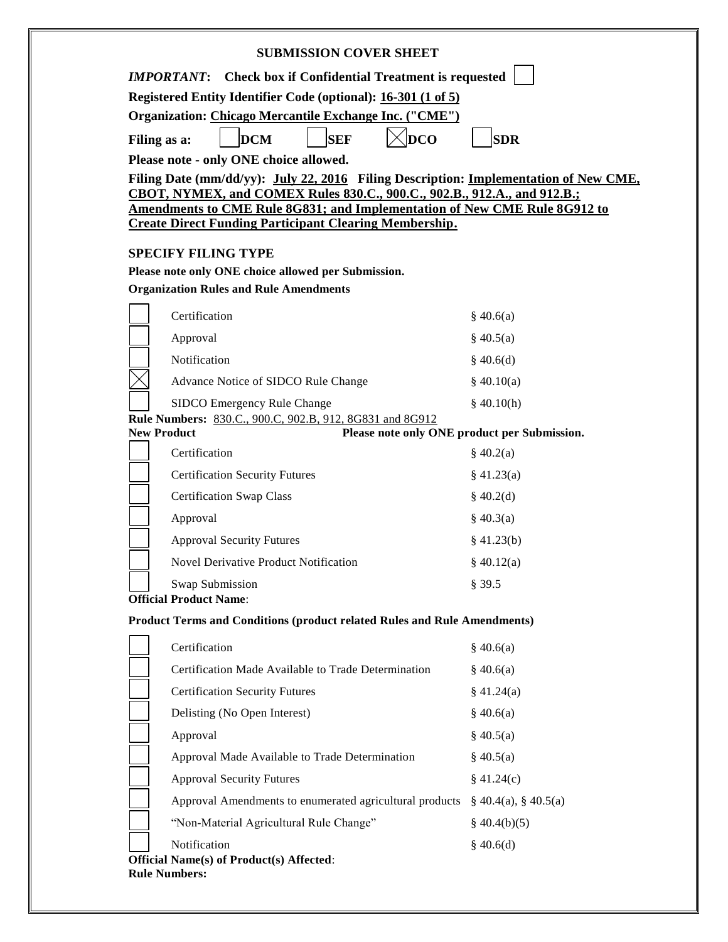| <b>SUBMISSION COVER SHEET</b>                                                                                                                                                                 |                            |
|-----------------------------------------------------------------------------------------------------------------------------------------------------------------------------------------------|----------------------------|
| <b>IMPORTANT:</b> Check box if Confidential Treatment is requested<br>Registered Entity Identifier Code (optional): 16-301 (1 of 5)<br>Organization: Chicago Mercantile Exchange Inc. ("CME") |                            |
|                                                                                                                                                                                               |                            |
| Please note - only ONE choice allowed.                                                                                                                                                        |                            |
| Filing Date (mm/dd/yy): July 22, 2016 Filing Description: Implementation of New CME,                                                                                                          |                            |
| CBOT, NYMEX, and COMEX Rules 830.C., 900.C., 902.B., 912.A., and 912.B.;<br>Amendments to CME Rule 8G831; and Implementation of New CME Rule 8G912 to                                         |                            |
| <b>Create Direct Funding Participant Clearing Membership.</b>                                                                                                                                 |                            |
| <b>SPECIFY FILING TYPE</b>                                                                                                                                                                    |                            |
| Please note only ONE choice allowed per Submission.                                                                                                                                           |                            |
| <b>Organization Rules and Rule Amendments</b>                                                                                                                                                 |                            |
| Certification                                                                                                                                                                                 | \$40.6(a)                  |
| Approval                                                                                                                                                                                      | $§$ 40.5(a)                |
| Notification                                                                                                                                                                                  | \$40.6(d)                  |
| Advance Notice of SIDCO Rule Change                                                                                                                                                           | \$40.10(a)                 |
| SIDCO Emergency Rule Change                                                                                                                                                                   | \$40.10(h)                 |
| Rule Numbers: 830.C., 900.C, 902.B, 912, 8G831 and 8G912<br><b>New Product</b><br>Please note only ONE product per Submission.                                                                |                            |
| Certification                                                                                                                                                                                 | \$40.2(a)                  |
| <b>Certification Security Futures</b>                                                                                                                                                         | \$41.23(a)                 |
| <b>Certification Swap Class</b>                                                                                                                                                               | \$40.2(d)                  |
| Approval                                                                                                                                                                                      | $\S$ 40.3(a)               |
| <b>Approval Security Futures</b>                                                                                                                                                              | $§$ 41.23(b)               |
| <b>Novel Derivative Product Notification</b>                                                                                                                                                  | \$40.12(a)                 |
| Swap Submission                                                                                                                                                                               | § 39.5                     |
| <b>Official Product Name:</b>                                                                                                                                                                 |                            |
| <b>Product Terms and Conditions (product related Rules and Rule Amendments)</b>                                                                                                               |                            |
| Certification                                                                                                                                                                                 | \$40.6(a)                  |
| Certification Made Available to Trade Determination                                                                                                                                           | \$40.6(a)                  |
| <b>Certification Security Futures</b>                                                                                                                                                         | \$41.24(a)                 |
| Delisting (No Open Interest)                                                                                                                                                                  | \$40.6(a)                  |
| Approval                                                                                                                                                                                      | \$40.5(a)                  |
| Approval Made Available to Trade Determination                                                                                                                                                | $\S$ 40.5(a)               |
| <b>Approval Security Futures</b>                                                                                                                                                              | \$41.24(c)                 |
| Approval Amendments to enumerated agricultural products                                                                                                                                       | $\S$ 40.4(a), $\S$ 40.5(a) |
| "Non-Material Agricultural Rule Change"                                                                                                                                                       | $\S$ 40.4(b)(5)            |
| Notification                                                                                                                                                                                  | \$40.6(d)                  |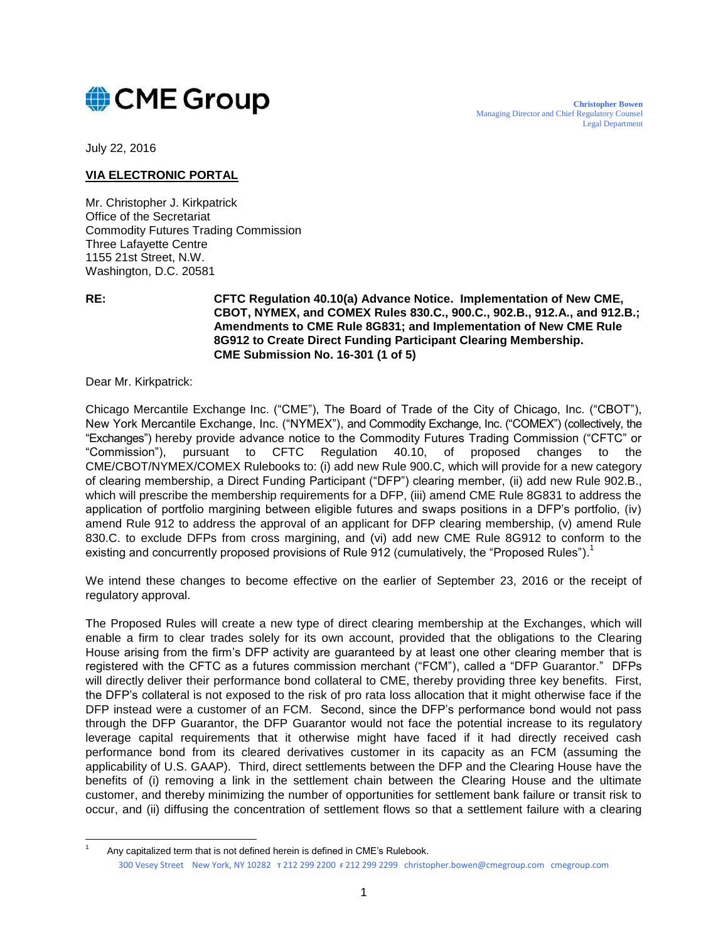

July 22, 2016

#### **VIA ELECTRONIC PORTAL**

Mr. Christopher J. Kirkpatrick Office of the Secretariat Commodity Futures Trading Commission Three Lafayette Centre 1155 21st Street, N.W. Washington, D.C. 20581

 $\overline{a}$ 

**RE: CFTC Regulation 40.10(a) Advance Notice. Implementation of New CME, CBOT, NYMEX, and COMEX Rules 830.C., 900.C., 902.B., 912.A., and 912.B.; Amendments to CME Rule 8G831; and Implementation of New CME Rule 8G912 to Create Direct Funding Participant Clearing Membership. CME Submission No. 16-301 (1 of 5)**

Dear Mr. Kirkpatrick:

Chicago Mercantile Exchange Inc. ("CME"), The Board of Trade of the City of Chicago, Inc. ("CBOT"), New York Mercantile Exchange, Inc. ("NYMEX"), and Commodity Exchange, Inc. ("COMEX") (collectively, the "Exchanges") hereby provide advance notice to the Commodity Futures Trading Commission ("CFTC" or "Commission"), pursuant to CFTC Regulation 40.10, of proposed changes to the CME/CBOT/NYMEX/COMEX Rulebooks to: (i) add new Rule 900.C, which will provide for a new category of clearing membership, a Direct Funding Participant ("DFP") clearing member, (ii) add new Rule 902.B., which will prescribe the membership requirements for a DFP, (iii) amend CME Rule 8G831 to address the application of portfolio margining between eligible futures and swaps positions in a DFP's portfolio, (iv) amend Rule 912 to address the approval of an applicant for DFP clearing membership, (v) amend Rule 830.C. to exclude DFPs from cross margining, and (vi) add new CME Rule 8G912 to conform to the existing and concurrently proposed provisions of Rule 912 (cumulatively, the "Proposed Rules").<sup>1</sup>

We intend these changes to become effective on the earlier of September 23, 2016 or the receipt of regulatory approval.

The Proposed Rules will create a new type of direct clearing membership at the Exchanges, which will enable a firm to clear trades solely for its own account, provided that the obligations to the Clearing House arising from the firm's DFP activity are guaranteed by at least one other clearing member that is registered with the CFTC as a futures commission merchant ("FCM"), called a "DFP Guarantor." DFPs will directly deliver their performance bond collateral to CME, thereby providing three key benefits. First, the DFP's collateral is not exposed to the risk of pro rata loss allocation that it might otherwise face if the DFP instead were a customer of an FCM. Second, since the DFP's performance bond would not pass through the DFP Guarantor, the DFP Guarantor would not face the potential increase to its regulatory leverage capital requirements that it otherwise might have faced if it had directly received cash performance bond from its cleared derivatives customer in its capacity as an FCM (assuming the applicability of U.S. GAAP). Third, direct settlements between the DFP and the Clearing House have the benefits of (i) removing a link in the settlement chain between the Clearing House and the ultimate customer, and thereby minimizing the number of opportunities for settlement bank failure or transit risk to occur, and (ii) diffusing the concentration of settlement flows so that a settlement failure with a clearing

Any capitalized term that is not defined herein is defined in CME's Rulebook.

<sup>300</sup> Vesey Street New York, NY 10282 **T** 212 299 2200 **F** 212 299 2299 christopher.bowen@cmegroup.com cmegroup.com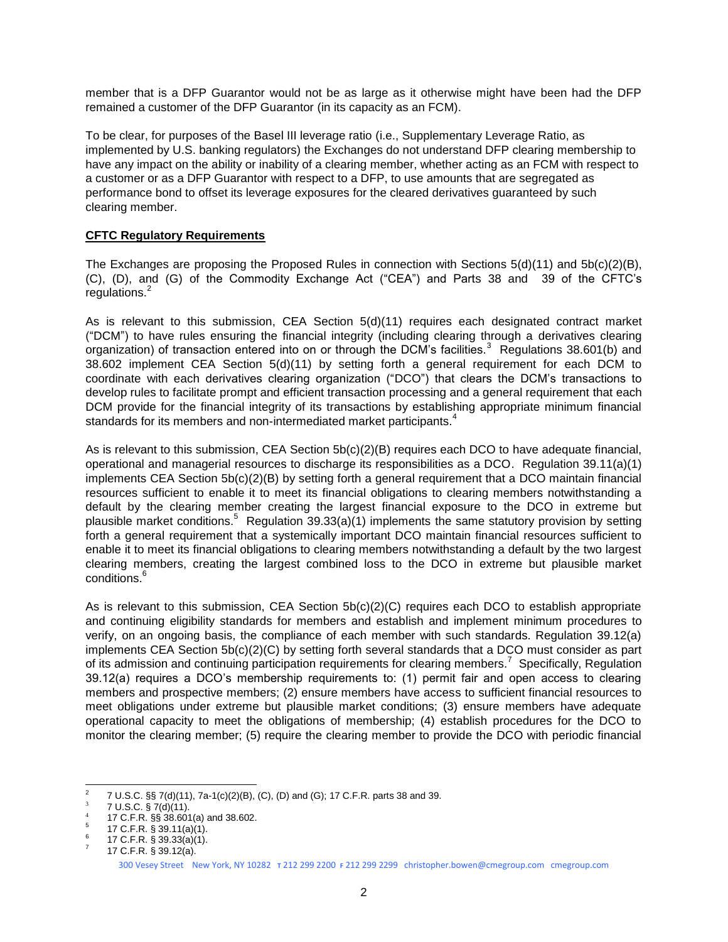member that is a DFP Guarantor would not be as large as it otherwise might have been had the DFP remained a customer of the DFP Guarantor (in its capacity as an FCM).

To be clear, for purposes of the Basel III leverage ratio (i.e., Supplementary Leverage Ratio, as implemented by U.S. banking regulators) the Exchanges do not understand DFP clearing membership to have any impact on the ability or inability of a clearing member, whether acting as an FCM with respect to a customer or as a DFP Guarantor with respect to a DFP, to use amounts that are segregated as performance bond to offset its leverage exposures for the cleared derivatives guaranteed by such clearing member.

#### **CFTC Regulatory Requirements**

The Exchanges are proposing the Proposed Rules in connection with Sections 5(d)(11) and 5b(c)(2)(B), (C), (D), and (G) of the Commodity Exchange Act ("CEA") and Parts 38 and 39 of the CFTC's regulations.<sup>2</sup>

As is relevant to this submission, CEA Section 5(d)(11) requires each designated contract market ("DCM") to have rules ensuring the financial integrity (including clearing through a derivatives clearing organization) of transaction entered into on or through the DCM's facilities.<sup>3</sup> Regulations 38.601(b) and 38.602 implement CEA Section 5(d)(11) by setting forth a general requirement for each DCM to coordinate with each derivatives clearing organization ("DCO") that clears the DCM's transactions to develop rules to facilitate prompt and efficient transaction processing and a general requirement that each DCM provide for the financial integrity of its transactions by establishing appropriate minimum financial standards for its members and non-intermediated market participants.<sup>4</sup>

As is relevant to this submission, CEA Section 5b(c)(2)(B) requires each DCO to have adequate financial, operational and managerial resources to discharge its responsibilities as a DCO. Regulation 39.11(a)(1) implements CEA Section 5b(c)(2)(B) by setting forth a general requirement that a DCO maintain financial resources sufficient to enable it to meet its financial obligations to clearing members notwithstanding a default by the clearing member creating the largest financial exposure to the DCO in extreme but plausible market conditions.<sup>5</sup> Regulation 39.33(a)(1) implements the same statutory provision by setting forth a general requirement that a systemically important DCO maintain financial resources sufficient to enable it to meet its financial obligations to clearing members notwithstanding a default by the two largest clearing members, creating the largest combined loss to the DCO in extreme but plausible market conditions.<sup>6</sup>

As is relevant to this submission, CEA Section 5b(c)(2)(C) requires each DCO to establish appropriate and continuing eligibility standards for members and establish and implement minimum procedures to verify, on an ongoing basis, the compliance of each member with such standards. Regulation 39.12(a) implements CEA Section 5b(c)(2)(C) by setting forth several standards that a DCO must consider as part of its admission and continuing participation requirements for clearing members.<sup>7</sup> Specifically, Regulation 39.12(a) requires a DCO's membership requirements to: (1) permit fair and open access to clearing members and prospective members; (2) ensure members have access to sufficient financial resources to meet obligations under extreme but plausible market conditions; (3) ensure members have adequate operational capacity to meet the obligations of membership; (4) establish procedures for the DCO to monitor the clearing member; (5) require the clearing member to provide the DCO with periodic financial

 $\frac{1}{2}$ 7 U.S.C. §§ 7(d)(11), 7a-1(c)(2)(B), (C), (D) and (G); 17 C.F.R. parts 38 and 39.

<sup>3</sup> 7 U.S.C. § 7(d)(11).

<sup>4</sup> 17 C.F.R. §§ 38.601(a) and 38.602. 5

<sup>17</sup> C.F.R. § 39.11(a)(1). 6

<sup>17</sup> C.F.R. § 39.33(a)(1). 7

<sup>300</sup> Vesey Street New York, NY 10282 **T** 212 299 2200 **F** 212 299 2299 christopher.bowen@cmegroup.com cmegroup.com 17 C.F.R. § 39.12(a).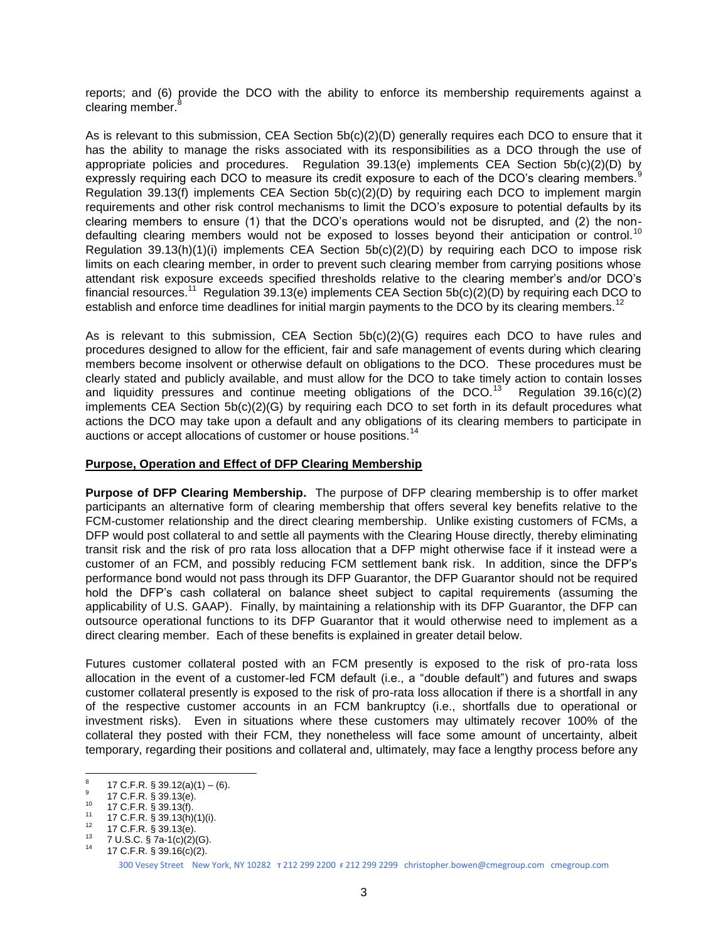reports; and (6) provide the DCO with the ability to enforce its membership requirements against a clearing member.

As is relevant to this submission, CEA Section 5b(c)(2)(D) generally requires each DCO to ensure that it has the ability to manage the risks associated with its responsibilities as a DCO through the use of appropriate policies and procedures. Regulation 39.13(e) implements CEA Section 5b(c)(2)(D) by expressly requiring each DCO to measure its credit exposure to each of the DCO's clearing members. Regulation 39.13(f) implements CEA Section 5b(c)(2)(D) by requiring each DCO to implement margin requirements and other risk control mechanisms to limit the DCO's exposure to potential defaults by its clearing members to ensure (1) that the DCO's operations would not be disrupted, and (2) the nondefaulting clearing members would not be exposed to losses beyond their anticipation or control.<sup>10</sup> Regulation 39.13(h)(1)(i) implements CEA Section 5b(c)(2)(D) by requiring each DCO to impose risk limits on each clearing member, in order to prevent such clearing member from carrying positions whose attendant risk exposure exceeds specified thresholds relative to the clearing member's and/or DCO's financial resources.<sup>11</sup> Regulation 39.13(e) implements CEA Section 5b(c)(2)(D) by requiring each DCO to establish and enforce time deadlines for initial margin payments to the DCO by its clearing members.<sup>12</sup>

As is relevant to this submission, CEA Section 5b(c)(2)(G) requires each DCO to have rules and procedures designed to allow for the efficient, fair and safe management of events during which clearing members become insolvent or otherwise default on obligations to the DCO. These procedures must be clearly stated and publicly available, and must allow for the DCO to take timely action to contain losses and liquidity pressures and continue meeting obligations of the DCO.<sup>13</sup> Regulation 39.16(c)(2) implements CEA Section 5b(c)(2)(G) by requiring each DCO to set forth in its default procedures what actions the DCO may take upon a default and any obligations of its clearing members to participate in auctions or accept allocations of customer or house positions.<sup>14</sup>

#### **Purpose, Operation and Effect of DFP Clearing Membership**

**Purpose of DFP Clearing Membership.** The purpose of DFP clearing membership is to offer market participants an alternative form of clearing membership that offers several key benefits relative to the FCM-customer relationship and the direct clearing membership. Unlike existing customers of FCMs, a DFP would post collateral to and settle all payments with the Clearing House directly, thereby eliminating transit risk and the risk of pro rata loss allocation that a DFP might otherwise face if it instead were a customer of an FCM, and possibly reducing FCM settlement bank risk. In addition, since the DFP's performance bond would not pass through its DFP Guarantor, the DFP Guarantor should not be required hold the DFP's cash collateral on balance sheet subject to capital requirements (assuming the applicability of U.S. GAAP). Finally, by maintaining a relationship with its DFP Guarantor, the DFP can outsource operational functions to its DFP Guarantor that it would otherwise need to implement as a direct clearing member. Each of these benefits is explained in greater detail below.

Futures customer collateral posted with an FCM presently is exposed to the risk of pro-rata loss allocation in the event of a customer-led FCM default (i.e., a "double default") and futures and swaps customer collateral presently is exposed to the risk of pro-rata loss allocation if there is a shortfall in any of the respective customer accounts in an FCM bankruptcy (i.e., shortfalls due to operational or investment risks). Even in situations where these customers may ultimately recover 100% of the collateral they posted with their FCM, they nonetheless will face some amount of uncertainty, albeit temporary, regarding their positions and collateral and, ultimately, may face a lengthy process before any

<sup>-&</sup>lt;br>8 17 C.F.R.  $\S$  39.12(a)(1) – (6). 9

<sup>17</sup> C.F.R. § 39.13(e).

 $^{10}$  17 C.F.R. § 39.13(f).

<sup>&</sup>lt;sup>11</sup> 17 C.F.R.  $\frac{5}{9}$  39.13(h)(1)(i).

 $^{12}$  17 C.F.R. § 39.13(e).

<sup>&</sup>lt;sup>13</sup> 7 U.S.C. § 7a-1(c)(2)(G). <sup>14</sup> 17 C.F.R. § 39.16(c)(2).

<sup>300</sup> Vesey Street New York, NY 10282 **T** 212 299 2200 **F** 212 299 2299 christopher.bowen@cmegroup.com cmegroup.com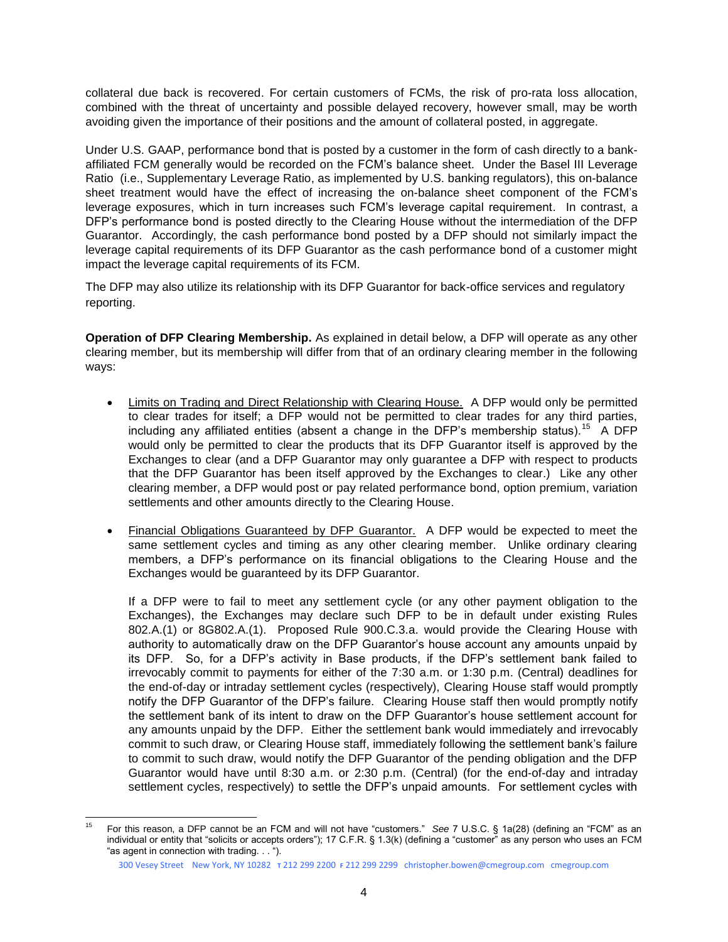collateral due back is recovered. For certain customers of FCMs, the risk of pro-rata loss allocation, combined with the threat of uncertainty and possible delayed recovery, however small, may be worth avoiding given the importance of their positions and the amount of collateral posted, in aggregate.

Under U.S. GAAP, performance bond that is posted by a customer in the form of cash directly to a bankaffiliated FCM generally would be recorded on the FCM's balance sheet. Under the Basel III Leverage Ratio (i.e., Supplementary Leverage Ratio, as implemented by U.S. banking regulators), this on-balance sheet treatment would have the effect of increasing the on-balance sheet component of the FCM's leverage exposures, which in turn increases such FCM's leverage capital requirement. In contrast, a DFP's performance bond is posted directly to the Clearing House without the intermediation of the DFP Guarantor. Accordingly, the cash performance bond posted by a DFP should not similarly impact the leverage capital requirements of its DFP Guarantor as the cash performance bond of a customer might impact the leverage capital requirements of its FCM.

The DFP may also utilize its relationship with its DFP Guarantor for back-office services and regulatory reporting.

**Operation of DFP Clearing Membership.** As explained in detail below, a DFP will operate as any other clearing member, but its membership will differ from that of an ordinary clearing member in the following ways:

- Limits on Trading and Direct Relationship with Clearing House. A DFP would only be permitted to clear trades for itself; a DFP would not be permitted to clear trades for any third parties, including any affiliated entities (absent a change in the DFP's membership status).<sup>15</sup> A DFP would only be permitted to clear the products that its DFP Guarantor itself is approved by the Exchanges to clear (and a DFP Guarantor may only guarantee a DFP with respect to products that the DFP Guarantor has been itself approved by the Exchanges to clear.) Like any other clearing member, a DFP would post or pay related performance bond, option premium, variation settlements and other amounts directly to the Clearing House.
- Financial Obligations Guaranteed by DFP Guarantor. A DFP would be expected to meet the same settlement cycles and timing as any other clearing member. Unlike ordinary clearing members, a DFP's performance on its financial obligations to the Clearing House and the Exchanges would be guaranteed by its DFP Guarantor.

If a DFP were to fail to meet any settlement cycle (or any other payment obligation to the Exchanges), the Exchanges may declare such DFP to be in default under existing Rules 802.A.(1) or 8G802.A.(1). Proposed Rule 900.C.3.a. would provide the Clearing House with authority to automatically draw on the DFP Guarantor's house account any amounts unpaid by its DFP. So, for a DFP's activity in Base products, if the DFP's settlement bank failed to irrevocably commit to payments for either of the 7:30 a.m. or 1:30 p.m. (Central) deadlines for the end-of-day or intraday settlement cycles (respectively), Clearing House staff would promptly notify the DFP Guarantor of the DFP's failure. Clearing House staff then would promptly notify the settlement bank of its intent to draw on the DFP Guarantor's house settlement account for any amounts unpaid by the DFP. Either the settlement bank would immediately and irrevocably commit to such draw, or Clearing House staff, immediately following the settlement bank's failure to commit to such draw, would notify the DFP Guarantor of the pending obligation and the DFP Guarantor would have until 8:30 a.m. or 2:30 p.m. (Central) (for the end-of-day and intraday settlement cycles, respectively) to settle the DFP's unpaid amounts. For settlement cycles with

 15 For this reason, a DFP cannot be an FCM and will not have "customers." *See* 7 U.S.C. § 1a(28) (defining an "FCM" as an individual or entity that "solicits or accepts orders"); 17 C.F.R. § 1.3(k) (defining a "customer" as any person who uses an FCM "as agent in connection with trading. . . ").

<sup>300</sup> Vesey Street New York, NY 10282 **T** 212 299 2200 **F** 212 299 2299 christopher.bowen@cmegroup.com cmegroup.com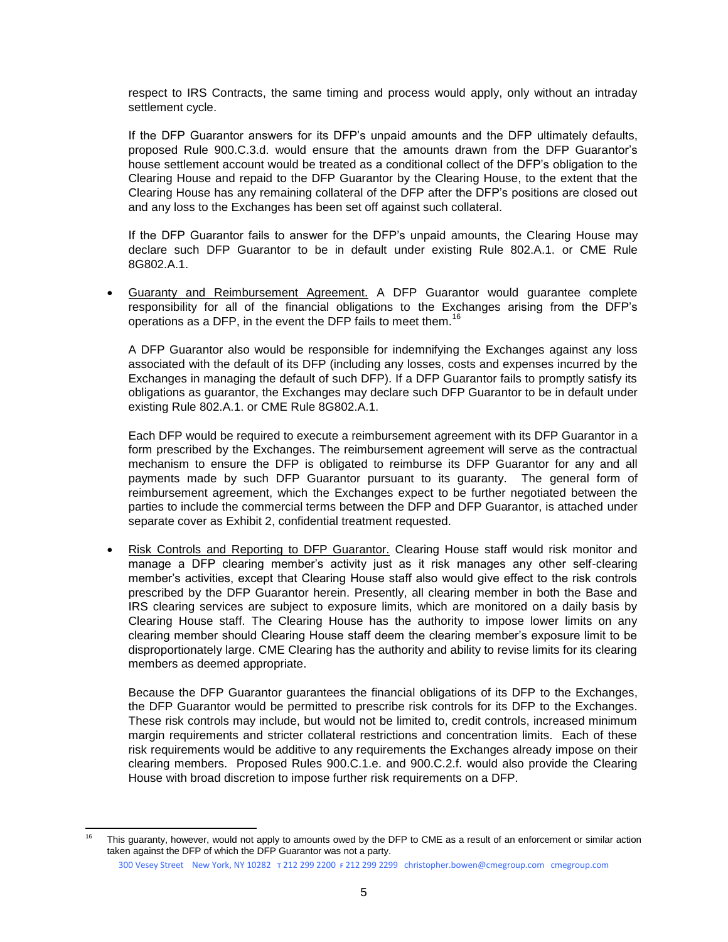respect to IRS Contracts, the same timing and process would apply, only without an intraday settlement cycle.

If the DFP Guarantor answers for its DFP's unpaid amounts and the DFP ultimately defaults, proposed Rule 900.C.3.d. would ensure that the amounts drawn from the DFP Guarantor's house settlement account would be treated as a conditional collect of the DFP's obligation to the Clearing House and repaid to the DFP Guarantor by the Clearing House, to the extent that the Clearing House has any remaining collateral of the DFP after the DFP's positions are closed out and any loss to the Exchanges has been set off against such collateral.

If the DFP Guarantor fails to answer for the DFP's unpaid amounts, the Clearing House may declare such DFP Guarantor to be in default under existing Rule 802.A.1. or CME Rule 8G802.A.1.

 Guaranty and Reimbursement Agreement. A DFP Guarantor would guarantee complete responsibility for all of the financial obligations to the Exchanges arising from the DFP's operations as a DFP, in the event the DFP fails to meet them.<sup>16</sup>

A DFP Guarantor also would be responsible for indemnifying the Exchanges against any loss associated with the default of its DFP (including any losses, costs and expenses incurred by the Exchanges in managing the default of such DFP). If a DFP Guarantor fails to promptly satisfy its obligations as guarantor, the Exchanges may declare such DFP Guarantor to be in default under existing Rule 802.A.1. or CME Rule 8G802.A.1.

Each DFP would be required to execute a reimbursement agreement with its DFP Guarantor in a form prescribed by the Exchanges. The reimbursement agreement will serve as the contractual mechanism to ensure the DFP is obligated to reimburse its DFP Guarantor for any and all payments made by such DFP Guarantor pursuant to its guaranty. The general form of reimbursement agreement, which the Exchanges expect to be further negotiated between the parties to include the commercial terms between the DFP and DFP Guarantor, is attached under separate cover as Exhibit 2, confidential treatment requested.

 Risk Controls and Reporting to DFP Guarantor. Clearing House staff would risk monitor and manage a DFP clearing member's activity just as it risk manages any other self-clearing member's activities, except that Clearing House staff also would give effect to the risk controls prescribed by the DFP Guarantor herein. Presently, all clearing member in both the Base and IRS clearing services are subject to exposure limits, which are monitored on a daily basis by Clearing House staff. The Clearing House has the authority to impose lower limits on any clearing member should Clearing House staff deem the clearing member's exposure limit to be disproportionately large. CME Clearing has the authority and ability to revise limits for its clearing members as deemed appropriate.

Because the DFP Guarantor guarantees the financial obligations of its DFP to the Exchanges, the DFP Guarantor would be permitted to prescribe risk controls for its DFP to the Exchanges. These risk controls may include, but would not be limited to, credit controls, increased minimum margin requirements and stricter collateral restrictions and concentration limits. Each of these risk requirements would be additive to any requirements the Exchanges already impose on their clearing members. Proposed Rules 900.C.1.e. and 900.C.2.f. would also provide the Clearing House with broad discretion to impose further risk requirements on a DFP.

l This guaranty, however, would not apply to amounts owed by the DFP to CME as a result of an enforcement or similar action taken against the DFP of which the DFP Guarantor was not a party.

<sup>300</sup> Vesey Street New York, NY 10282 **T** 212 299 2200 **F** 212 299 2299 christopher.bowen@cmegroup.com cmegroup.com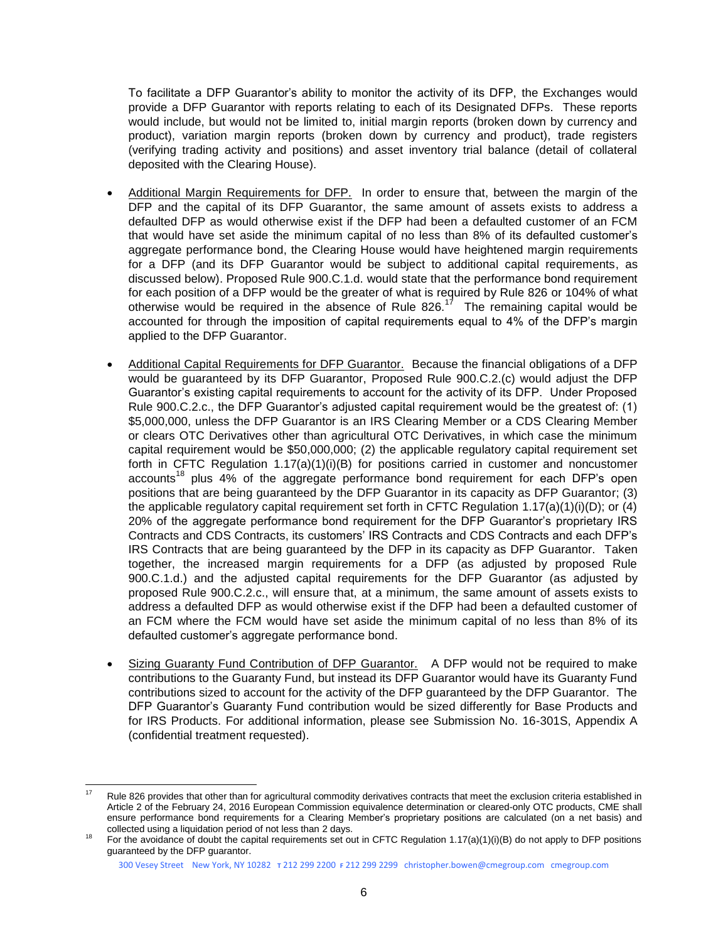To facilitate a DFP Guarantor's ability to monitor the activity of its DFP, the Exchanges would provide a DFP Guarantor with reports relating to each of its Designated DFPs. These reports would include, but would not be limited to, initial margin reports (broken down by currency and product), variation margin reports (broken down by currency and product), trade registers (verifying trading activity and positions) and asset inventory trial balance (detail of collateral deposited with the Clearing House).

- Additional Margin Requirements for DFP. In order to ensure that, between the margin of the DFP and the capital of its DFP Guarantor, the same amount of assets exists to address a defaulted DFP as would otherwise exist if the DFP had been a defaulted customer of an FCM that would have set aside the minimum capital of no less than 8% of its defaulted customer's aggregate performance bond, the Clearing House would have heightened margin requirements for a DFP (and its DFP Guarantor would be subject to additional capital requirements, as discussed below). Proposed Rule 900.C.1.d. would state that the performance bond requirement for each position of a DFP would be the greater of what is required by Rule 826 or 104% of what otherwise would be required in the absence of Rule 826. $17$  The remaining capital would be accounted for through the imposition of capital requirements equal to 4% of the DFP's margin applied to the DFP Guarantor.
- Additional Capital Requirements for DFP Guarantor. Because the financial obligations of a DFP would be guaranteed by its DFP Guarantor, Proposed Rule 900.C.2.(c) would adjust the DFP Guarantor's existing capital requirements to account for the activity of its DFP. Under Proposed Rule 900.C.2.c., the DFP Guarantor's adjusted capital requirement would be the greatest of: (1) \$5,000,000, unless the DFP Guarantor is an IRS Clearing Member or a CDS Clearing Member or clears OTC Derivatives other than agricultural OTC Derivatives, in which case the minimum capital requirement would be \$50,000,000; (2) the applicable regulatory capital requirement set forth in CFTC Regulation  $1.17(a)(1)(i)(B)$  for positions carried in customer and noncustomer  $accounts<sup>18</sup>$  plus 4% of the aggregate performance bond requirement for each DFP's open positions that are being guaranteed by the DFP Guarantor in its capacity as DFP Guarantor; (3) the applicable regulatory capital requirement set forth in CFTC Regulation  $1.17(a)(1)(i)(D)$ ; or (4) 20% of the aggregate performance bond requirement for the DFP Guarantor's proprietary IRS Contracts and CDS Contracts, its customers' IRS Contracts and CDS Contracts and each DFP's IRS Contracts that are being guaranteed by the DFP in its capacity as DFP Guarantor. Taken together, the increased margin requirements for a DFP (as adjusted by proposed Rule 900.C.1.d.) and the adjusted capital requirements for the DFP Guarantor (as adjusted by proposed Rule 900.C.2.c., will ensure that, at a minimum, the same amount of assets exists to address a defaulted DFP as would otherwise exist if the DFP had been a defaulted customer of an FCM where the FCM would have set aside the minimum capital of no less than 8% of its defaulted customer's aggregate performance bond.
- Sizing Guaranty Fund Contribution of DFP Guarantor.A DFP would not be required to make contributions to the Guaranty Fund, but instead its DFP Guarantor would have its Guaranty Fund contributions sized to account for the activity of the DFP guaranteed by the DFP Guarantor. The DFP Guarantor's Guaranty Fund contribution would be sized differently for Base Products and for IRS Products. For additional information, please see Submission No. 16-301S, Appendix A (confidential treatment requested).

l Rule 826 provides that other than for agricultural commodity derivatives contracts that meet the exclusion criteria established in Article 2 of the February 24, 2016 European Commission equivalence determination or cleared-only OTC products, CME shall ensure performance bond requirements for a Clearing Member's proprietary positions are calculated (on a net basis) and collected using a liquidation period of not less than 2 days.

For the avoidance of doubt the capital requirements set out in CFTC Regulation 1.17(a)(1)(i)(B) do not apply to DFP positions guaranteed by the DFP guarantor.

<sup>300</sup> Vesey Street New York, NY 10282 **T** 212 299 2200 **F** 212 299 2299 christopher.bowen@cmegroup.com cmegroup.com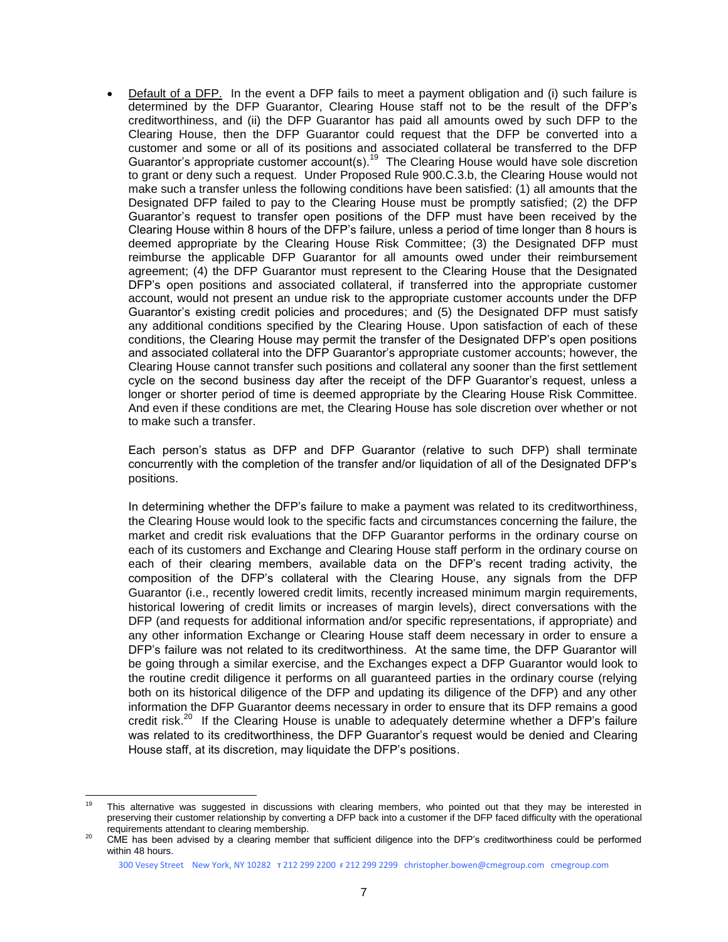Default of a DFP. In the event a DFP fails to meet a payment obligation and (i) such failure is determined by the DFP Guarantor, Clearing House staff not to be the result of the DFP's creditworthiness, and (ii) the DFP Guarantor has paid all amounts owed by such DFP to the Clearing House, then the DFP Guarantor could request that the DFP be converted into a customer and some or all of its positions and associated collateral be transferred to the DFP Guarantor's appropriate customer account(s).<sup>19</sup> The Clearing House would have sole discretion to grant or deny such a request. Under Proposed Rule 900.C.3.b, the Clearing House would not make such a transfer unless the following conditions have been satisfied: (1) all amounts that the Designated DFP failed to pay to the Clearing House must be promptly satisfied; (2) the DFP Guarantor's request to transfer open positions of the DFP must have been received by the Clearing House within 8 hours of the DFP's failure, unless a period of time longer than 8 hours is deemed appropriate by the Clearing House Risk Committee; (3) the Designated DFP must reimburse the applicable DFP Guarantor for all amounts owed under their reimbursement agreement; (4) the DFP Guarantor must represent to the Clearing House that the Designated DFP's open positions and associated collateral, if transferred into the appropriate customer account, would not present an undue risk to the appropriate customer accounts under the DFP Guarantor's existing credit policies and procedures; and (5) the Designated DFP must satisfy any additional conditions specified by the Clearing House. Upon satisfaction of each of these conditions, the Clearing House may permit the transfer of the Designated DFP's open positions and associated collateral into the DFP Guarantor's appropriate customer accounts; however, the Clearing House cannot transfer such positions and collateral any sooner than the first settlement cycle on the second business day after the receipt of the DFP Guarantor's request, unless a longer or shorter period of time is deemed appropriate by the Clearing House Risk Committee. And even if these conditions are met, the Clearing House has sole discretion over whether or not to make such a transfer.

Each person's status as DFP and DFP Guarantor (relative to such DFP) shall terminate concurrently with the completion of the transfer and/or liquidation of all of the Designated DFP's positions.

In determining whether the DFP's failure to make a payment was related to its creditworthiness, the Clearing House would look to the specific facts and circumstances concerning the failure, the market and credit risk evaluations that the DFP Guarantor performs in the ordinary course on each of its customers and Exchange and Clearing House staff perform in the ordinary course on each of their clearing members, available data on the DFP's recent trading activity, the composition of the DFP's collateral with the Clearing House, any signals from the DFP Guarantor (i.e., recently lowered credit limits, recently increased minimum margin requirements, historical lowering of credit limits or increases of margin levels), direct conversations with the DFP (and requests for additional information and/or specific representations, if appropriate) and any other information Exchange or Clearing House staff deem necessary in order to ensure a DFP's failure was not related to its creditworthiness. At the same time, the DFP Guarantor will be going through a similar exercise, and the Exchanges expect a DFP Guarantor would look to the routine credit diligence it performs on all guaranteed parties in the ordinary course (relying both on its historical diligence of the DFP and updating its diligence of the DFP) and any other information the DFP Guarantor deems necessary in order to ensure that its DFP remains a good credit risk.<sup>20</sup> If the Clearing House is unable to adequately determine whether a DFP's failure was related to its creditworthiness, the DFP Guarantor's request would be denied and Clearing House staff, at its discretion, may liquidate the DFP's positions.

 $10<sup>1</sup>$ This alternative was suggested in discussions with clearing members, who pointed out that they may be interested in preserving their customer relationship by converting a DFP back into a customer if the DFP faced difficulty with the operational requirements attendant to clearing membership.

<sup>&</sup>lt;sup>20</sup> CME has been advised by a clearing member that sufficient diligence into the DFP's creditworthiness could be performed within 48 hours.

<sup>300</sup> Vesey Street New York, NY 10282 **T** 212 299 2200 **F** 212 299 2299 christopher.bowen@cmegroup.com cmegroup.com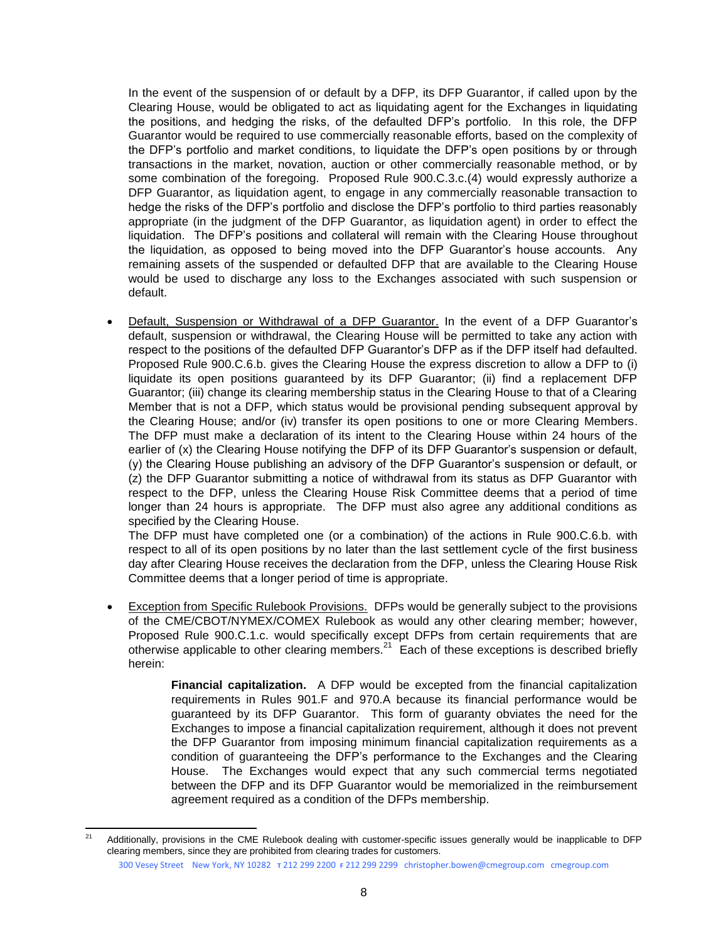In the event of the suspension of or default by a DFP, its DFP Guarantor, if called upon by the Clearing House, would be obligated to act as liquidating agent for the Exchanges in liquidating the positions, and hedging the risks, of the defaulted DFP's portfolio. In this role, the DFP Guarantor would be required to use commercially reasonable efforts, based on the complexity of the DFP's portfolio and market conditions, to liquidate the DFP's open positions by or through transactions in the market, novation, auction or other commercially reasonable method, or by some combination of the foregoing. Proposed Rule 900.C.3.c.(4) would expressly authorize a DFP Guarantor, as liquidation agent, to engage in any commercially reasonable transaction to hedge the risks of the DFP's portfolio and disclose the DFP's portfolio to third parties reasonably appropriate (in the judgment of the DFP Guarantor, as liquidation agent) in order to effect the liquidation. The DFP's positions and collateral will remain with the Clearing House throughout the liquidation, as opposed to being moved into the DFP Guarantor's house accounts. Any remaining assets of the suspended or defaulted DFP that are available to the Clearing House would be used to discharge any loss to the Exchanges associated with such suspension or default.

 Default, Suspension or Withdrawal of a DFP Guarantor. In the event of a DFP Guarantor's default, suspension or withdrawal, the Clearing House will be permitted to take any action with respect to the positions of the defaulted DFP Guarantor's DFP as if the DFP itself had defaulted. Proposed Rule 900.C.6.b. gives the Clearing House the express discretion to allow a DFP to (i) liquidate its open positions guaranteed by its DFP Guarantor; (ii) find a replacement DFP Guarantor; (iii) change its clearing membership status in the Clearing House to that of a Clearing Member that is not a DFP, which status would be provisional pending subsequent approval by the Clearing House; and/or (iv) transfer its open positions to one or more Clearing Members. The DFP must make a declaration of its intent to the Clearing House within 24 hours of the earlier of (x) the Clearing House notifying the DFP of its DFP Guarantor's suspension or default, (y) the Clearing House publishing an advisory of the DFP Guarantor's suspension or default, or (z) the DFP Guarantor submitting a notice of withdrawal from its status as DFP Guarantor with respect to the DFP, unless the Clearing House Risk Committee deems that a period of time longer than 24 hours is appropriate. The DFP must also agree any additional conditions as specified by the Clearing House.

The DFP must have completed one (or a combination) of the actions in Rule 900.C.6.b. with respect to all of its open positions by no later than the last settlement cycle of the first business day after Clearing House receives the declaration from the DFP, unless the Clearing House Risk Committee deems that a longer period of time is appropriate.

 Exception from Specific Rulebook Provisions. DFPs would be generally subject to the provisions of the CME/CBOT/NYMEX/COMEX Rulebook as would any other clearing member; however, Proposed Rule 900.C.1.c. would specifically except DFPs from certain requirements that are otherwise applicable to other clearing members.<sup>21</sup> Each of these exceptions is described briefly herein:

> **Financial capitalization.** A DFP would be excepted from the financial capitalization requirements in Rules 901.F and 970.A because its financial performance would be guaranteed by its DFP Guarantor. This form of guaranty obviates the need for the Exchanges to impose a financial capitalization requirement, although it does not prevent the DFP Guarantor from imposing minimum financial capitalization requirements as a condition of guaranteeing the DFP's performance to the Exchanges and the Clearing House. The Exchanges would expect that any such commercial terms negotiated between the DFP and its DFP Guarantor would be memorialized in the reimbursement agreement required as a condition of the DFPs membership.

 $21$ Additionally, provisions in the CME Rulebook dealing with customer-specific issues generally would be inapplicable to DFP clearing members, since they are prohibited from clearing trades for customers.

<sup>300</sup> Vesey Street New York, NY 10282 **T** 212 299 2200 **F** 212 299 2299 christopher.bowen@cmegroup.com cmegroup.com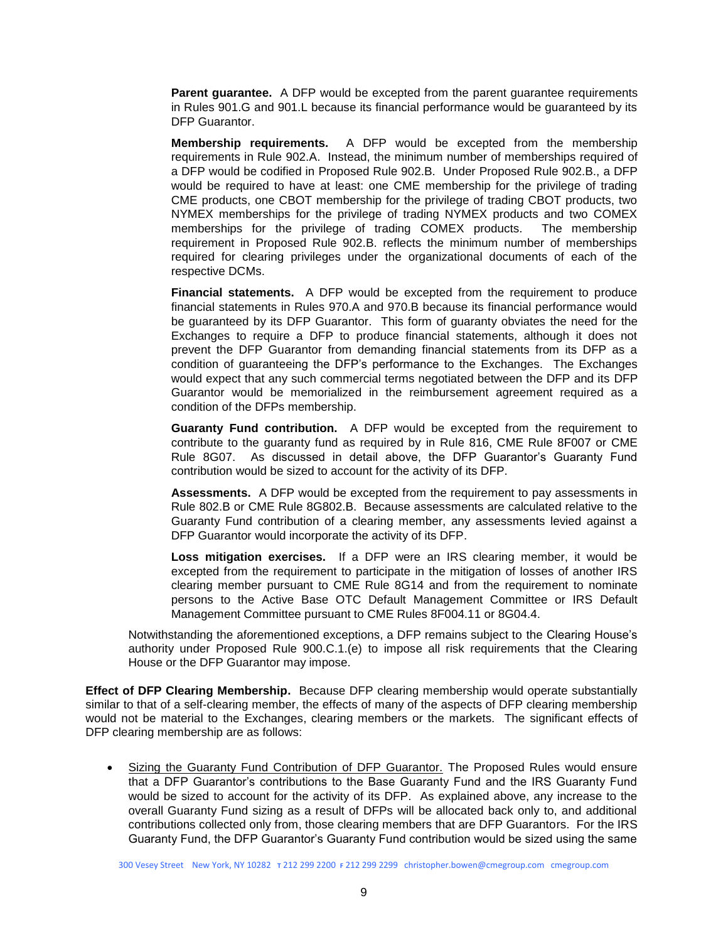**Parent guarantee.** A DFP would be excepted from the parent guarantee requirements in Rules 901.G and 901.L because its financial performance would be guaranteed by its DFP Guarantor.

**Membership requirements.** A DFP would be excepted from the membership requirements in Rule 902.A. Instead, the minimum number of memberships required of a DFP would be codified in Proposed Rule 902.B. Under Proposed Rule 902.B., a DFP would be required to have at least: one CME membership for the privilege of trading CME products, one CBOT membership for the privilege of trading CBOT products, two NYMEX memberships for the privilege of trading NYMEX products and two COMEX memberships for the privilege of trading COMEX products. The membership requirement in Proposed Rule 902.B. reflects the minimum number of memberships required for clearing privileges under the organizational documents of each of the respective DCMs.

**Financial statements.** A DFP would be excepted from the requirement to produce financial statements in Rules 970.A and 970.B because its financial performance would be guaranteed by its DFP Guarantor. This form of guaranty obviates the need for the Exchanges to require a DFP to produce financial statements, although it does not prevent the DFP Guarantor from demanding financial statements from its DFP as a condition of guaranteeing the DFP's performance to the Exchanges. The Exchanges would expect that any such commercial terms negotiated between the DFP and its DFP Guarantor would be memorialized in the reimbursement agreement required as a condition of the DFPs membership.

**Guaranty Fund contribution.** A DFP would be excepted from the requirement to contribute to the guaranty fund as required by in Rule 816, CME Rule 8F007 or CME Rule 8G07. As discussed in detail above, the DFP Guarantor's Guaranty Fund contribution would be sized to account for the activity of its DFP.

**Assessments.** A DFP would be excepted from the requirement to pay assessments in Rule 802.B or CME Rule 8G802.B. Because assessments are calculated relative to the Guaranty Fund contribution of a clearing member, any assessments levied against a DFP Guarantor would incorporate the activity of its DFP.

**Loss mitigation exercises.** If a DFP were an IRS clearing member, it would be excepted from the requirement to participate in the mitigation of losses of another IRS clearing member pursuant to CME Rule 8G14 and from the requirement to nominate persons to the Active Base OTC Default Management Committee or IRS Default Management Committee pursuant to CME Rules 8F004.11 or 8G04.4.

Notwithstanding the aforementioned exceptions, a DFP remains subject to the Clearing House's authority under Proposed Rule 900.C.1.(e) to impose all risk requirements that the Clearing House or the DFP Guarantor may impose.

**Effect of DFP Clearing Membership.** Because DFP clearing membership would operate substantially similar to that of a self-clearing member, the effects of many of the aspects of DFP clearing membership would not be material to the Exchanges, clearing members or the markets. The significant effects of DFP clearing membership are as follows:

• Sizing the Guaranty Fund Contribution of DFP Guarantor. The Proposed Rules would ensure that a DFP Guarantor's contributions to the Base Guaranty Fund and the IRS Guaranty Fund would be sized to account for the activity of its DFP. As explained above, any increase to the overall Guaranty Fund sizing as a result of DFPs will be allocated back only to, and additional contributions collected only from, those clearing members that are DFP Guarantors. For the IRS Guaranty Fund, the DFP Guarantor's Guaranty Fund contribution would be sized using the same

300 Vesey Street New York, NY 10282 **T** 212 299 2200 **F** 212 299 2299 christopher.bowen@cmegroup.com cmegroup.com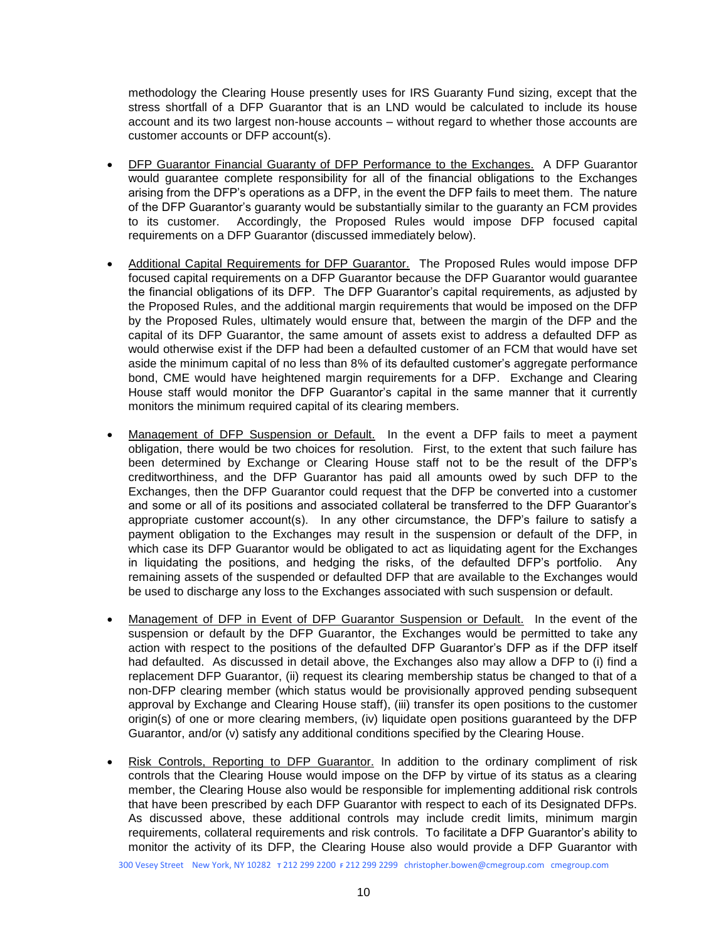methodology the Clearing House presently uses for IRS Guaranty Fund sizing, except that the stress shortfall of a DFP Guarantor that is an LND would be calculated to include its house account and its two largest non-house accounts – without regard to whether those accounts are customer accounts or DFP account(s).

- DFP Guarantor Financial Guaranty of DFP Performance to the Exchanges. A DFP Guarantor would guarantee complete responsibility for all of the financial obligations to the Exchanges arising from the DFP's operations as a DFP, in the event the DFP fails to meet them. The nature of the DFP Guarantor's guaranty would be substantially similar to the guaranty an FCM provides to its customer. Accordingly, the Proposed Rules would impose DFP focused capital requirements on a DFP Guarantor (discussed immediately below).
- Additional Capital Requirements for DFP Guarantor. The Proposed Rules would impose DFP focused capital requirements on a DFP Guarantor because the DFP Guarantor would guarantee the financial obligations of its DFP. The DFP Guarantor's capital requirements, as adjusted by the Proposed Rules, and the additional margin requirements that would be imposed on the DFP by the Proposed Rules, ultimately would ensure that, between the margin of the DFP and the capital of its DFP Guarantor, the same amount of assets exist to address a defaulted DFP as would otherwise exist if the DFP had been a defaulted customer of an FCM that would have set aside the minimum capital of no less than 8% of its defaulted customer's aggregate performance bond, CME would have heightened margin requirements for a DFP. Exchange and Clearing House staff would monitor the DFP Guarantor's capital in the same manner that it currently monitors the minimum required capital of its clearing members.
- Management of DFP Suspension or Default. In the event a DFP fails to meet a payment obligation, there would be two choices for resolution. First, to the extent that such failure has been determined by Exchange or Clearing House staff not to be the result of the DFP's creditworthiness, and the DFP Guarantor has paid all amounts owed by such DFP to the Exchanges, then the DFP Guarantor could request that the DFP be converted into a customer and some or all of its positions and associated collateral be transferred to the DFP Guarantor's appropriate customer account(s). In any other circumstance, the DFP's failure to satisfy a payment obligation to the Exchanges may result in the suspension or default of the DFP, in which case its DFP Guarantor would be obligated to act as liquidating agent for the Exchanges in liquidating the positions, and hedging the risks, of the defaulted DFP's portfolio. Any remaining assets of the suspended or defaulted DFP that are available to the Exchanges would be used to discharge any loss to the Exchanges associated with such suspension or default.
- Management of DFP in Event of DFP Guarantor Suspension or Default. In the event of the suspension or default by the DFP Guarantor, the Exchanges would be permitted to take any action with respect to the positions of the defaulted DFP Guarantor's DFP as if the DFP itself had defaulted. As discussed in detail above, the Exchanges also may allow a DFP to (i) find a replacement DFP Guarantor, (ii) request its clearing membership status be changed to that of a non-DFP clearing member (which status would be provisionally approved pending subsequent approval by Exchange and Clearing House staff), (iii) transfer its open positions to the customer origin(s) of one or more clearing members, (iv) liquidate open positions guaranteed by the DFP Guarantor, and/or (v) satisfy any additional conditions specified by the Clearing House.
- Risk Controls, Reporting to DFP Guarantor. In addition to the ordinary compliment of risk controls that the Clearing House would impose on the DFP by virtue of its status as a clearing member, the Clearing House also would be responsible for implementing additional risk controls that have been prescribed by each DFP Guarantor with respect to each of its Designated DFPs. As discussed above, these additional controls may include credit limits, minimum margin requirements, collateral requirements and risk controls. To facilitate a DFP Guarantor's ability to monitor the activity of its DFP, the Clearing House also would provide a DFP Guarantor with

300 Vesey Street New York, NY 10282 **T** 212 299 2200 **F** 212 299 2299 christopher.bowen@cmegroup.com cmegroup.com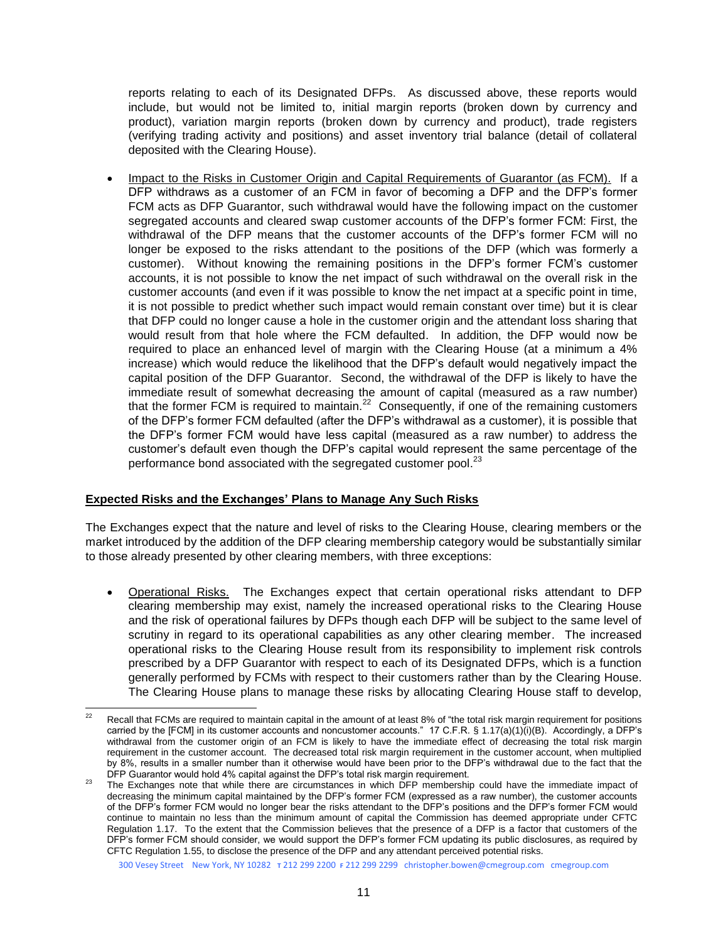reports relating to each of its Designated DFPs. As discussed above, these reports would include, but would not be limited to, initial margin reports (broken down by currency and product), variation margin reports (broken down by currency and product), trade registers (verifying trading activity and positions) and asset inventory trial balance (detail of collateral deposited with the Clearing House).

 Impact to the Risks in Customer Origin and Capital Requirements of Guarantor (as FCM). If a DFP withdraws as a customer of an FCM in favor of becoming a DFP and the DFP's former FCM acts as DFP Guarantor, such withdrawal would have the following impact on the customer segregated accounts and cleared swap customer accounts of the DFP's former FCM: First, the withdrawal of the DFP means that the customer accounts of the DFP's former FCM will no longer be exposed to the risks attendant to the positions of the DFP (which was formerly a customer). Without knowing the remaining positions in the DFP's former FCM's customer accounts, it is not possible to know the net impact of such withdrawal on the overall risk in the customer accounts (and even if it was possible to know the net impact at a specific point in time, it is not possible to predict whether such impact would remain constant over time) but it is clear that DFP could no longer cause a hole in the customer origin and the attendant loss sharing that would result from that hole where the FCM defaulted. In addition, the DFP would now be required to place an enhanced level of margin with the Clearing House (at a minimum a 4% increase) which would reduce the likelihood that the DFP's default would negatively impact the capital position of the DFP Guarantor. Second, the withdrawal of the DFP is likely to have the immediate result of somewhat decreasing the amount of capital (measured as a raw number) that the former FCM is required to maintain.<sup>22</sup> Consequently, if one of the remaining customers of the DFP's former FCM defaulted (after the DFP's withdrawal as a customer), it is possible that the DFP's former FCM would have less capital (measured as a raw number) to address the customer's default even though the DFP's capital would represent the same percentage of the performance bond associated with the segregated customer pool.<sup>23</sup>

#### **Expected Risks and the Exchanges' Plans to Manage Any Such Risks**

The Exchanges expect that the nature and level of risks to the Clearing House, clearing members or the market introduced by the addition of the DFP clearing membership category would be substantially similar to those already presented by other clearing members, with three exceptions:

 Operational Risks. The Exchanges expect that certain operational risks attendant to DFP clearing membership may exist, namely the increased operational risks to the Clearing House and the risk of operational failures by DFPs though each DFP will be subject to the same level of scrutiny in regard to its operational capabilities as any other clearing member. The increased operational risks to the Clearing House result from its responsibility to implement risk controls prescribed by a DFP Guarantor with respect to each of its Designated DFPs, which is a function generally performed by FCMs with respect to their customers rather than by the Clearing House. The Clearing House plans to manage these risks by allocating Clearing House staff to develop,

<sup>22</sup> Recall that FCMs are required to maintain capital in the amount of at least 8% of "the total risk margin requirement for positions carried by the [FCM] in its customer accounts and noncustomer accounts." 17 C.F.R. § 1.17(a)(1)(i)(B). Accordingly, a DFP's withdrawal from the customer origin of an FCM is likely to have the immediate effect of decreasing the total risk margin requirement in the customer account. The decreased total risk margin requirement in the customer account, when multiplied by 8%, results in a smaller number than it otherwise would have been prior to the DFP's withdrawal due to the fact that the DFP Guarantor would hold 4% capital against the DFP's total risk margin requirement.

<sup>23</sup> The Exchanges note that while there are circumstances in which DFP membership could have the immediate impact of decreasing the minimum capital maintained by the DFP's former FCM (expressed as a raw number), the customer accounts of the DFP's former FCM would no longer bear the risks attendant to the DFP's positions and the DFP's former FCM would continue to maintain no less than the minimum amount of capital the Commission has deemed appropriate under CFTC Regulation 1.17. To the extent that the Commission believes that the presence of a DFP is a factor that customers of the DFP's former FCM should consider, we would support the DFP's former FCM updating its public disclosures, as required by CFTC Regulation 1.55, to disclose the presence of the DFP and any attendant perceived potential risks.

<sup>300</sup> Vesey Street New York, NY 10282 **T** 212 299 2200 **F** 212 299 2299 christopher.bowen@cmegroup.com cmegroup.com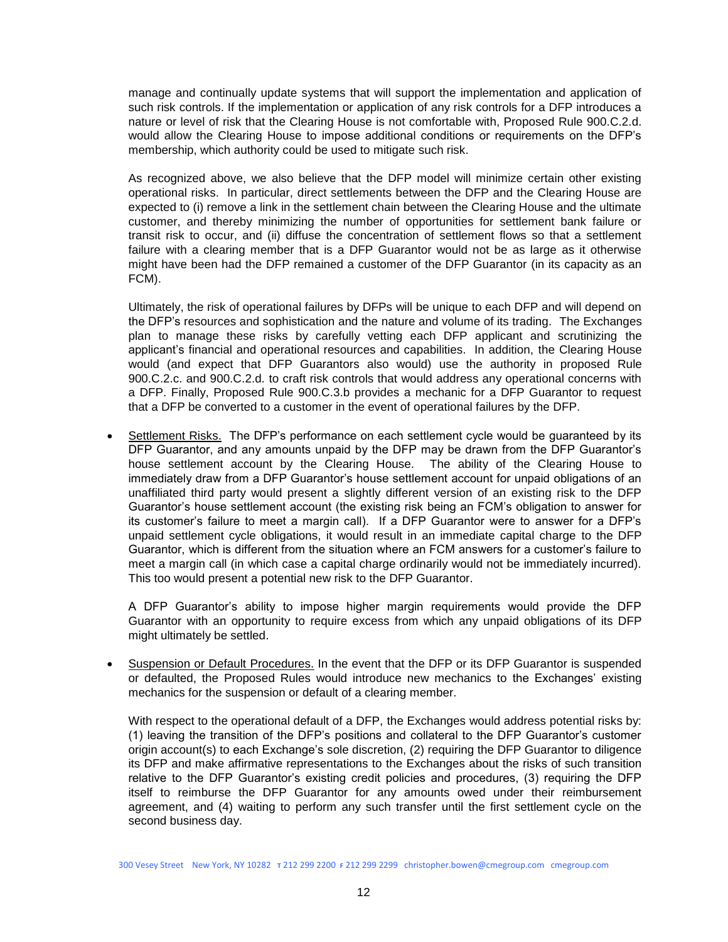manage and continually update systems that will support the implementation and application of such risk controls. If the implementation or application of any risk controls for a DFP introduces a nature or level of risk that the Clearing House is not comfortable with, Proposed Rule 900.C.2.d. would allow the Clearing House to impose additional conditions or requirements on the DFP's membership, which authority could be used to mitigate such risk.

As recognized above, we also believe that the DFP model will minimize certain other existing operational risks. In particular, direct settlements between the DFP and the Clearing House are expected to (i) remove a link in the settlement chain between the Clearing House and the ultimate customer, and thereby minimizing the number of opportunities for settlement bank failure or transit risk to occur, and (ii) diffuse the concentration of settlement flows so that a settlement failure with a clearing member that is a DFP Guarantor would not be as large as it otherwise might have been had the DFP remained a customer of the DFP Guarantor (in its capacity as an FCM).

Ultimately, the risk of operational failures by DFPs will be unique to each DFP and will depend on the DFP's resources and sophistication and the nature and volume of its trading. The Exchanges plan to manage these risks by carefully vetting each DFP applicant and scrutinizing the applicant's financial and operational resources and capabilities. In addition, the Clearing House would (and expect that DFP Guarantors also would) use the authority in proposed Rule 900.C.2.c. and 900.C.2.d. to craft risk controls that would address any operational concerns with a DFP. Finally, Proposed Rule 900.C.3.b provides a mechanic for a DFP Guarantor to request that a DFP be converted to a customer in the event of operational failures by the DFP.

 Settlement Risks. The DFP's performance on each settlement cycle would be guaranteed by its DFP Guarantor, and any amounts unpaid by the DFP may be drawn from the DFP Guarantor's house settlement account by the Clearing House. The ability of the Clearing House to immediately draw from a DFP Guarantor's house settlement account for unpaid obligations of an unaffiliated third party would present a slightly different version of an existing risk to the DFP Guarantor's house settlement account (the existing risk being an FCM's obligation to answer for its customer's failure to meet a margin call). If a DFP Guarantor were to answer for a DFP's unpaid settlement cycle obligations, it would result in an immediate capital charge to the DFP Guarantor, which is different from the situation where an FCM answers for a customer's failure to meet a margin call (in which case a capital charge ordinarily would not be immediately incurred). This too would present a potential new risk to the DFP Guarantor.

A DFP Guarantor's ability to impose higher margin requirements would provide the DFP Guarantor with an opportunity to require excess from which any unpaid obligations of its DFP might ultimately be settled.

 Suspension or Default Procedures. In the event that the DFP or its DFP Guarantor is suspended or defaulted, the Proposed Rules would introduce new mechanics to the Exchanges' existing mechanics for the suspension or default of a clearing member.

With respect to the operational default of a DFP, the Exchanges would address potential risks by: (1) leaving the transition of the DFP's positions and collateral to the DFP Guarantor's customer origin account(s) to each Exchange's sole discretion, (2) requiring the DFP Guarantor to diligence its DFP and make affirmative representations to the Exchanges about the risks of such transition relative to the DFP Guarantor's existing credit policies and procedures, (3) requiring the DFP itself to reimburse the DFP Guarantor for any amounts owed under their reimbursement agreement, and (4) waiting to perform any such transfer until the first settlement cycle on the second business day.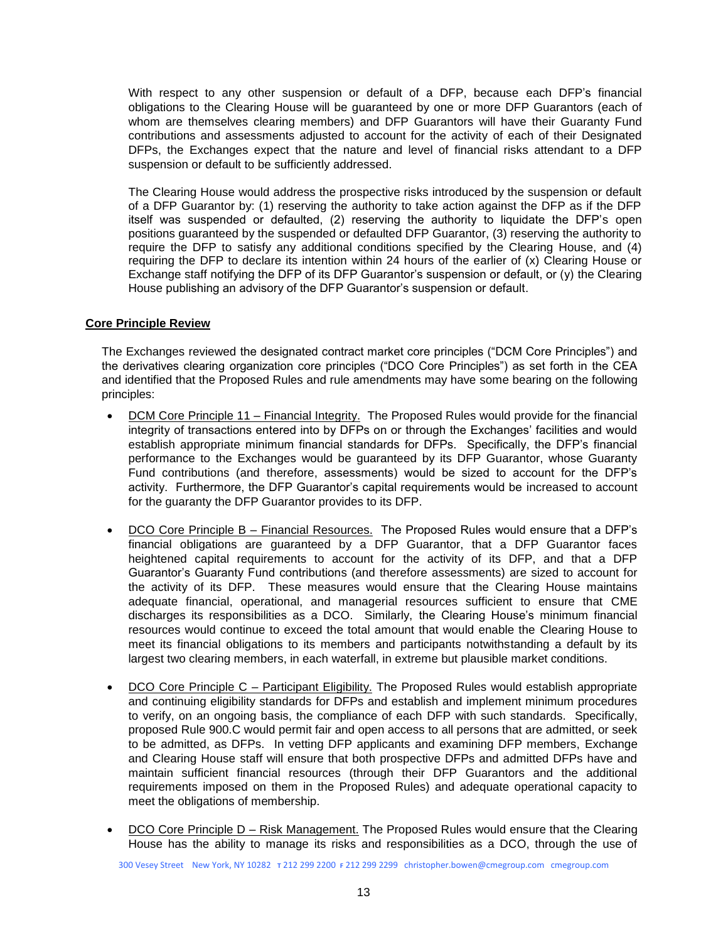With respect to any other suspension or default of a DFP, because each DFP's financial obligations to the Clearing House will be guaranteed by one or more DFP Guarantors (each of whom are themselves clearing members) and DFP Guarantors will have their Guaranty Fund contributions and assessments adjusted to account for the activity of each of their Designated DFPs, the Exchanges expect that the nature and level of financial risks attendant to a DFP suspension or default to be sufficiently addressed.

The Clearing House would address the prospective risks introduced by the suspension or default of a DFP Guarantor by: (1) reserving the authority to take action against the DFP as if the DFP itself was suspended or defaulted, (2) reserving the authority to liquidate the DFP's open positions guaranteed by the suspended or defaulted DFP Guarantor, (3) reserving the authority to require the DFP to satisfy any additional conditions specified by the Clearing House, and (4) requiring the DFP to declare its intention within 24 hours of the earlier of (x) Clearing House or Exchange staff notifying the DFP of its DFP Guarantor's suspension or default, or (y) the Clearing House publishing an advisory of the DFP Guarantor's suspension or default.

#### **Core Principle Review**

The Exchanges reviewed the designated contract market core principles ("DCM Core Principles") and the derivatives clearing organization core principles ("DCO Core Principles") as set forth in the CEA and identified that the Proposed Rules and rule amendments may have some bearing on the following principles:

- DCM Core Principle 11 Financial Integrity. The Proposed Rules would provide for the financial integrity of transactions entered into by DFPs on or through the Exchanges' facilities and would establish appropriate minimum financial standards for DFPs. Specifically, the DFP's financial performance to the Exchanges would be guaranteed by its DFP Guarantor, whose Guaranty Fund contributions (and therefore, assessments) would be sized to account for the DFP's activity. Furthermore, the DFP Guarantor's capital requirements would be increased to account for the guaranty the DFP Guarantor provides to its DFP.
- DCO Core Principle B Financial Resources. The Proposed Rules would ensure that a DFP's financial obligations are guaranteed by a DFP Guarantor, that a DFP Guarantor faces heightened capital requirements to account for the activity of its DFP, and that a DFP Guarantor's Guaranty Fund contributions (and therefore assessments) are sized to account for the activity of its DFP. These measures would ensure that the Clearing House maintains adequate financial, operational, and managerial resources sufficient to ensure that CME discharges its responsibilities as a DCO. Similarly, the Clearing House's minimum financial resources would continue to exceed the total amount that would enable the Clearing House to meet its financial obligations to its members and participants notwithstanding a default by its largest two clearing members, in each waterfall, in extreme but plausible market conditions.
- DCO Core Principle C Participant Eligibility. The Proposed Rules would establish appropriate and continuing eligibility standards for DFPs and establish and implement minimum procedures to verify, on an ongoing basis, the compliance of each DFP with such standards. Specifically, proposed Rule 900.C would permit fair and open access to all persons that are admitted, or seek to be admitted, as DFPs. In vetting DFP applicants and examining DFP members, Exchange and Clearing House staff will ensure that both prospective DFPs and admitted DFPs have and maintain sufficient financial resources (through their DFP Guarantors and the additional requirements imposed on them in the Proposed Rules) and adequate operational capacity to meet the obligations of membership.
- DCO Core Principle D Risk Management. The Proposed Rules would ensure that the Clearing House has the ability to manage its risks and responsibilities as a DCO, through the use of

300 Vesey Street New York, NY 10282 **T** 212 299 2200 **F** 212 299 2299 christopher.bowen@cmegroup.com cmegroup.com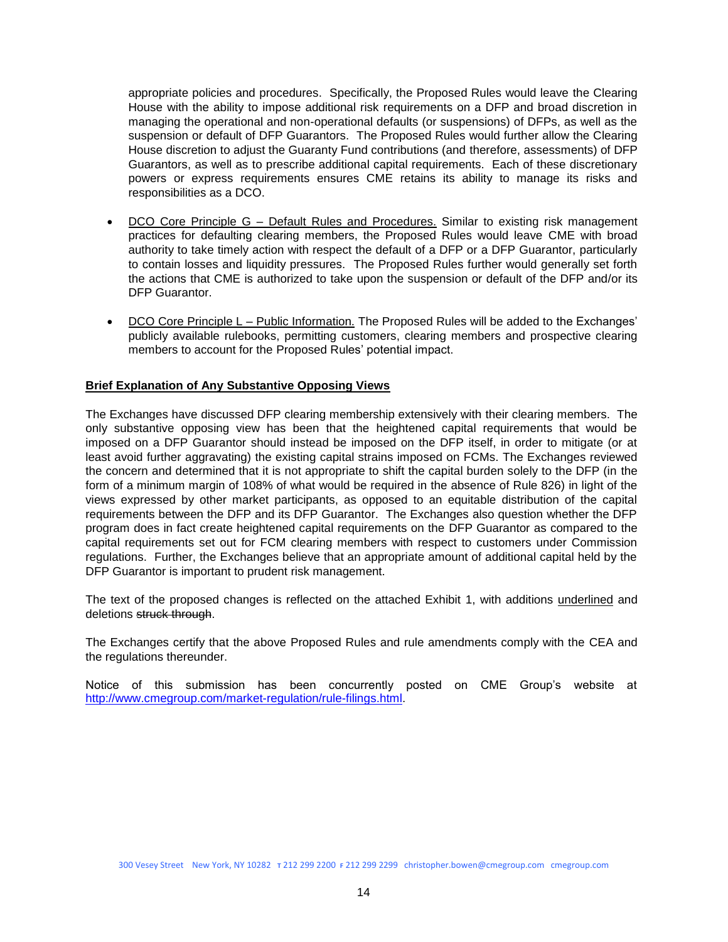appropriate policies and procedures. Specifically, the Proposed Rules would leave the Clearing House with the ability to impose additional risk requirements on a DFP and broad discretion in managing the operational and non-operational defaults (or suspensions) of DFPs, as well as the suspension or default of DFP Guarantors. The Proposed Rules would further allow the Clearing House discretion to adjust the Guaranty Fund contributions (and therefore, assessments) of DFP Guarantors, as well as to prescribe additional capital requirements. Each of these discretionary powers or express requirements ensures CME retains its ability to manage its risks and responsibilities as a DCO.

- DCO Core Principle G Default Rules and Procedures. Similar to existing risk management practices for defaulting clearing members, the Proposed Rules would leave CME with broad authority to take timely action with respect the default of a DFP or a DFP Guarantor, particularly to contain losses and liquidity pressures. The Proposed Rules further would generally set forth the actions that CME is authorized to take upon the suspension or default of the DFP and/or its DFP Guarantor.
- DCO Core Principle L Public Information. The Proposed Rules will be added to the Exchanges' publicly available rulebooks, permitting customers, clearing members and prospective clearing members to account for the Proposed Rules' potential impact.

#### **Brief Explanation of Any Substantive Opposing Views**

The Exchanges have discussed DFP clearing membership extensively with their clearing members. The only substantive opposing view has been that the heightened capital requirements that would be imposed on a DFP Guarantor should instead be imposed on the DFP itself, in order to mitigate (or at least avoid further aggravating) the existing capital strains imposed on FCMs. The Exchanges reviewed the concern and determined that it is not appropriate to shift the capital burden solely to the DFP (in the form of a minimum margin of 108% of what would be required in the absence of Rule 826) in light of the views expressed by other market participants, as opposed to an equitable distribution of the capital requirements between the DFP and its DFP Guarantor. The Exchanges also question whether the DFP program does in fact create heightened capital requirements on the DFP Guarantor as compared to the capital requirements set out for FCM clearing members with respect to customers under Commission regulations. Further, the Exchanges believe that an appropriate amount of additional capital held by the DFP Guarantor is important to prudent risk management.

The text of the proposed changes is reflected on the attached Exhibit 1, with additions underlined and deletions struck through.

The Exchanges certify that the above Proposed Rules and rule amendments comply with the CEA and the regulations thereunder.

Notice of this submission has been concurrently posted on CME Group's website at [http://www.cmegroup.com/market-regulation/rule-filings.html.](http://www.cmegroup.com/market-regulation/rule-filings.html)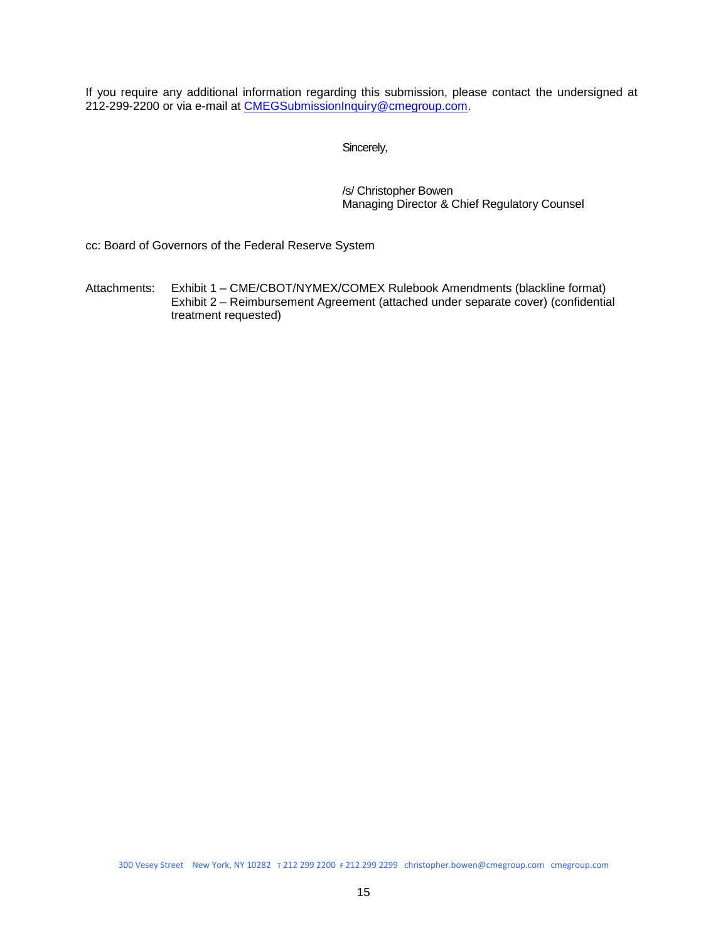If you require any additional information regarding this submission, please contact the undersigned at 212-299-2200 or via e-mail at [CMEGSubmissionInquiry@cmegroup.com.](mailto:Christopher.Bowen@cmegroup.com)

Sincerely,

/s/ Christopher Bowen Managing Director & Chief Regulatory Counsel

cc: Board of Governors of the Federal Reserve System

Attachments: Exhibit 1 – CME/CBOT/NYMEX/COMEX Rulebook Amendments (blackline format) Exhibit 2 – Reimbursement Agreement (attached under separate cover) (confidential treatment requested)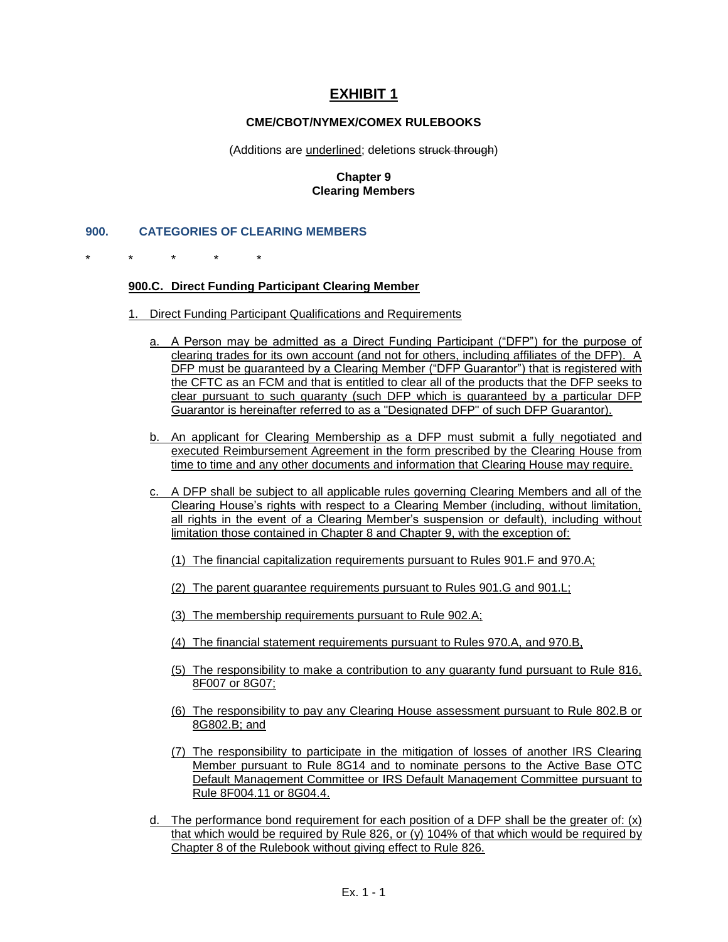# **EXHIBIT 1**

#### **CME/CBOT/NYMEX/COMEX RULEBOOKS**

#### (Additions are underlined; deletions struck through)

#### **Chapter 9 Clearing Members**

#### **900. CATEGORIES OF CLEARING MEMBERS**

\* \* \* \* \*

#### **900.C. Direct Funding Participant Clearing Member**

- 1. Direct Funding Participant Qualifications and Requirements
	- a. A Person may be admitted as a Direct Funding Participant ("DFP") for the purpose of clearing trades for its own account (and not for others, including affiliates of the DFP). A DFP must be guaranteed by a Clearing Member ("DFP Guarantor") that is registered with the CFTC as an FCM and that is entitled to clear all of the products that the DFP seeks to clear pursuant to such guaranty (such DFP which is guaranteed by a particular DFP Guarantor is hereinafter referred to as a "Designated DFP" of such DFP Guarantor).
	- b. An applicant for Clearing Membership as a DFP must submit a fully negotiated and executed Reimbursement Agreement in the form prescribed by the Clearing House from time to time and any other documents and information that Clearing House may require.
	- c. A DFP shall be subject to all applicable rules governing Clearing Members and all of the Clearing House's rights with respect to a Clearing Member (including, without limitation, all rights in the event of a Clearing Member's suspension or default), including without limitation those contained in Chapter 8 and Chapter 9, with the exception of:
		- (1) The financial capitalization requirements pursuant to Rules 901.F and 970.A;
		- (2) The parent guarantee requirements pursuant to Rules 901.G and 901.L;
		- (3) The membership requirements pursuant to Rule 902.A;
		- (4) The financial statement requirements pursuant to Rules 970.A, and 970.B,
		- (5) The responsibility to make a contribution to any guaranty fund pursuant to Rule 816, 8F007 or 8G07;
		- (6) The responsibility to pay any Clearing House assessment pursuant to Rule 802.B or 8G802.B; and
		- (7) The responsibility to participate in the mitigation of losses of another IRS Clearing Member pursuant to Rule 8G14 and to nominate persons to the Active Base OTC Default Management Committee or IRS Default Management Committee pursuant to Rule 8F004.11 or 8G04.4.
	- d. The performance bond requirement for each position of a DFP shall be the greater of:  $(x)$ that which would be required by Rule 826, or (y) 104% of that which would be required by Chapter 8 of the Rulebook without giving effect to Rule 826.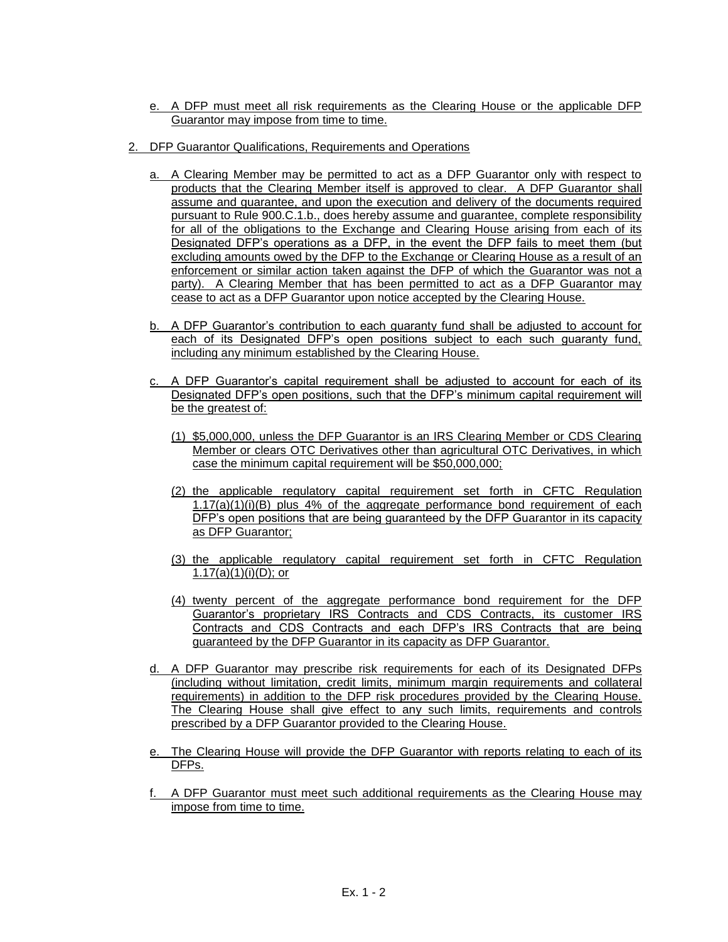- e. A DFP must meet all risk requirements as the Clearing House or the applicable DFP Guarantor may impose from time to time.
- 2. DFP Guarantor Qualifications, Requirements and Operations
	- a. A Clearing Member may be permitted to act as a DFP Guarantor only with respect to products that the Clearing Member itself is approved to clear. A DFP Guarantor shall assume and guarantee, and upon the execution and delivery of the documents required pursuant to Rule 900.C.1.b., does hereby assume and guarantee, complete responsibility for all of the obligations to the Exchange and Clearing House arising from each of its Designated DFP's operations as a DFP, in the event the DFP fails to meet them (but excluding amounts owed by the DFP to the Exchange or Clearing House as a result of an enforcement or similar action taken against the DFP of which the Guarantor was not a party). A Clearing Member that has been permitted to act as a DFP Guarantor may cease to act as a DFP Guarantor upon notice accepted by the Clearing House.
	- b. A DFP Guarantor's contribution to each guaranty fund shall be adjusted to account for each of its Designated DFP's open positions subject to each such guaranty fund, including any minimum established by the Clearing House.
	- c. A DFP Guarantor's capital requirement shall be adjusted to account for each of its Designated DFP's open positions, such that the DFP's minimum capital requirement will be the greatest of:
		- (1) \$5,000,000, unless the DFP Guarantor is an IRS Clearing Member or CDS Clearing Member or clears OTC Derivatives other than agricultural OTC Derivatives, in which case the minimum capital requirement will be \$50,000,000;
		- (2) the applicable regulatory capital requirement set forth in CFTC Regulation  $1.17(a)(1)(i)(B)$  plus 4% of the aggregate performance bond requirement of each DFP's open positions that are being guaranteed by the DFP Guarantor in its capacity as DFP Guarantor;
		- (3) the applicable regulatory capital requirement set forth in CFTC Regulation 1.17(a) $(1)(i)(D)$ ; or
		- (4) twenty percent of the aggregate performance bond requirement for the DFP Guarantor's proprietary IRS Contracts and CDS Contracts, its customer IRS Contracts and CDS Contracts and each DFP's IRS Contracts that are being guaranteed by the DFP Guarantor in its capacity as DFP Guarantor.
	- d. A DFP Guarantor may prescribe risk requirements for each of its Designated DFPs (including without limitation, credit limits, minimum margin requirements and collateral requirements) in addition to the DFP risk procedures provided by the Clearing House. The Clearing House shall give effect to any such limits, requirements and controls prescribed by a DFP Guarantor provided to the Clearing House.
	- e. The Clearing House will provide the DFP Guarantor with reports relating to each of its DFPs.
	- f. A DFP Guarantor must meet such additional requirements as the Clearing House may impose from time to time.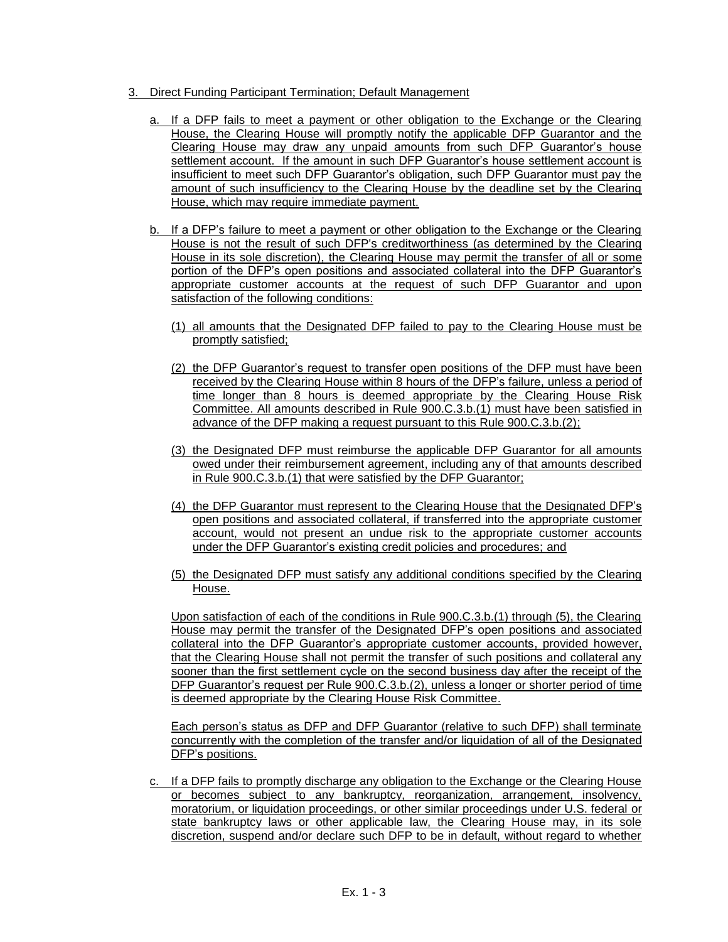- 3. Direct Funding Participant Termination; Default Management
	- a. If a DFP fails to meet a payment or other obligation to the Exchange or the Clearing House, the Clearing House will promptly notify the applicable DFP Guarantor and the Clearing House may draw any unpaid amounts from such DFP Guarantor's house settlement account. If the amount in such DFP Guarantor's house settlement account is insufficient to meet such DFP Guarantor's obligation, such DFP Guarantor must pay the amount of such insufficiency to the Clearing House by the deadline set by the Clearing House, which may require immediate payment.
	- b. If a DFP's failure to meet a payment or other obligation to the Exchange or the Clearing House is not the result of such DFP's creditworthiness (as determined by the Clearing House in its sole discretion), the Clearing House may permit the transfer of all or some portion of the DFP's open positions and associated collateral into the DFP Guarantor's appropriate customer accounts at the request of such DFP Guarantor and upon satisfaction of the following conditions:
		- (1) all amounts that the Designated DFP failed to pay to the Clearing House must be promptly satisfied;
		- (2) the DFP Guarantor's request to transfer open positions of the DFP must have been received by the Clearing House within 8 hours of the DFP's failure, unless a period of time longer than 8 hours is deemed appropriate by the Clearing House Risk Committee. All amounts described in Rule 900.C.3.b.(1) must have been satisfied in advance of the DFP making a request pursuant to this Rule 900.C.3.b.(2);
		- (3) the Designated DFP must reimburse the applicable DFP Guarantor for all amounts owed under their reimbursement agreement, including any of that amounts described in Rule 900.C.3.b.(1) that were satisfied by the DFP Guarantor;
		- (4) the DFP Guarantor must represent to the Clearing House that the Designated DFP's open positions and associated collateral, if transferred into the appropriate customer account, would not present an undue risk to the appropriate customer accounts under the DFP Guarantor's existing credit policies and procedures; and
		- (5) the Designated DFP must satisfy any additional conditions specified by the Clearing House.

Upon satisfaction of each of the conditions in Rule 900.C.3.b.(1) through (5), the Clearing House may permit the transfer of the Designated DFP's open positions and associated collateral into the DFP Guarantor's appropriate customer accounts, provided however, that the Clearing House shall not permit the transfer of such positions and collateral any sooner than the first settlement cycle on the second business day after the receipt of the DFP Guarantor's request per Rule 900.C.3.b.(2), unless a longer or shorter period of time is deemed appropriate by the Clearing House Risk Committee.

Each person's status as DFP and DFP Guarantor (relative to such DFP) shall terminate concurrently with the completion of the transfer and/or liquidation of all of the Designated DFP's positions.

c. If a DFP fails to promptly discharge any obligation to the Exchange or the Clearing House or becomes subject to any bankruptcy, reorganization, arrangement, insolvency, moratorium, or liquidation proceedings, or other similar proceedings under U.S. federal or state bankruptcy laws or other applicable law, the Clearing House may, in its sole discretion, suspend and/or declare such DFP to be in default, without regard to whether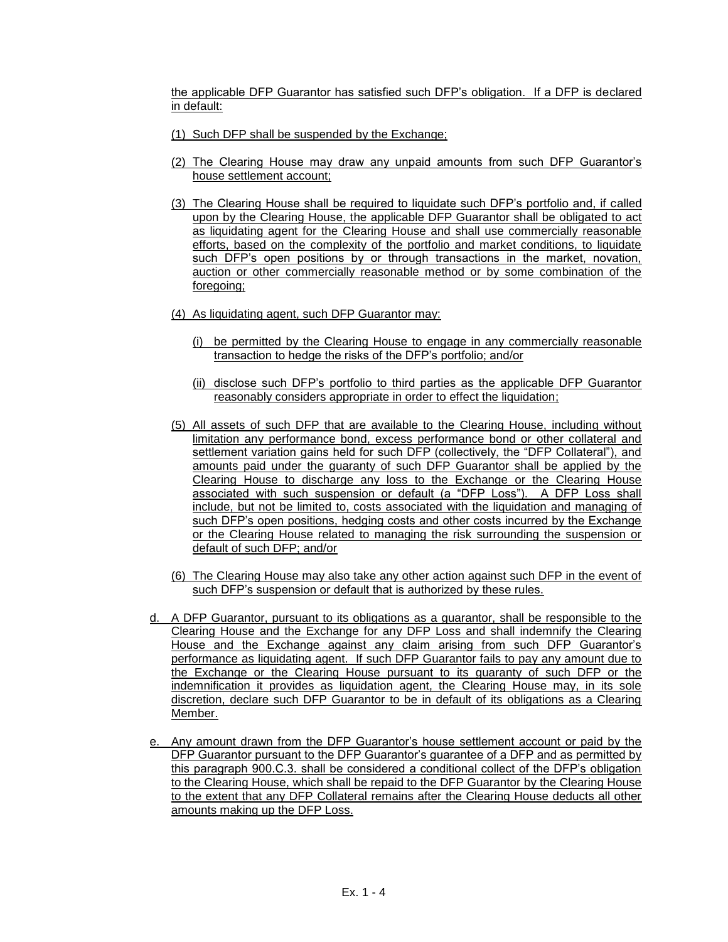the applicable DFP Guarantor has satisfied such DFP's obligation. If a DFP is declared in default:

- (1) Such DFP shall be suspended by the Exchange;
- (2) The Clearing House may draw any unpaid amounts from such DFP Guarantor's house settlement account;
- (3) The Clearing House shall be required to liquidate such DFP's portfolio and, if called upon by the Clearing House, the applicable DFP Guarantor shall be obligated to act as liquidating agent for the Clearing House and shall use commercially reasonable efforts, based on the complexity of the portfolio and market conditions, to liquidate such DFP's open positions by or through transactions in the market, novation, auction or other commercially reasonable method or by some combination of the foregoing:
- (4) As liquidating agent, such DFP Guarantor may:
	- (i) be permitted by the Clearing House to engage in any commercially reasonable transaction to hedge the risks of the DFP's portfolio; and/or
	- (ii) disclose such DFP's portfolio to third parties as the applicable DFP Guarantor reasonably considers appropriate in order to effect the liquidation;
- (5) All assets of such DFP that are available to the Clearing House, including without limitation any performance bond, excess performance bond or other collateral and settlement variation gains held for such DFP (collectively, the "DFP Collateral"), and amounts paid under the guaranty of such DFP Guarantor shall be applied by the Clearing House to discharge any loss to the Exchange or the Clearing House associated with such suspension or default (a "DFP Loss"). A DFP Loss shall include, but not be limited to, costs associated with the liquidation and managing of such DFP's open positions, hedging costs and other costs incurred by the Exchange or the Clearing House related to managing the risk surrounding the suspension or default of such DFP; and/or
- (6) The Clearing House may also take any other action against such DFP in the event of such DFP's suspension or default that is authorized by these rules.
- d. A DFP Guarantor, pursuant to its obligations as a guarantor, shall be responsible to the Clearing House and the Exchange for any DFP Loss and shall indemnify the Clearing House and the Exchange against any claim arising from such DFP Guarantor's performance as liquidating agent. If such DFP Guarantor fails to pay any amount due to the Exchange or the Clearing House pursuant to its guaranty of such DFP or the indemnification it provides as liquidation agent, the Clearing House may, in its sole discretion, declare such DFP Guarantor to be in default of its obligations as a Clearing Member.
- e. Any amount drawn from the DFP Guarantor's house settlement account or paid by the DFP Guarantor pursuant to the DFP Guarantor's guarantee of a DFP and as permitted by this paragraph 900.C.3. shall be considered a conditional collect of the DFP's obligation to the Clearing House, which shall be repaid to the DFP Guarantor by the Clearing House to the extent that any DFP Collateral remains after the Clearing House deducts all other amounts making up the DFP Loss.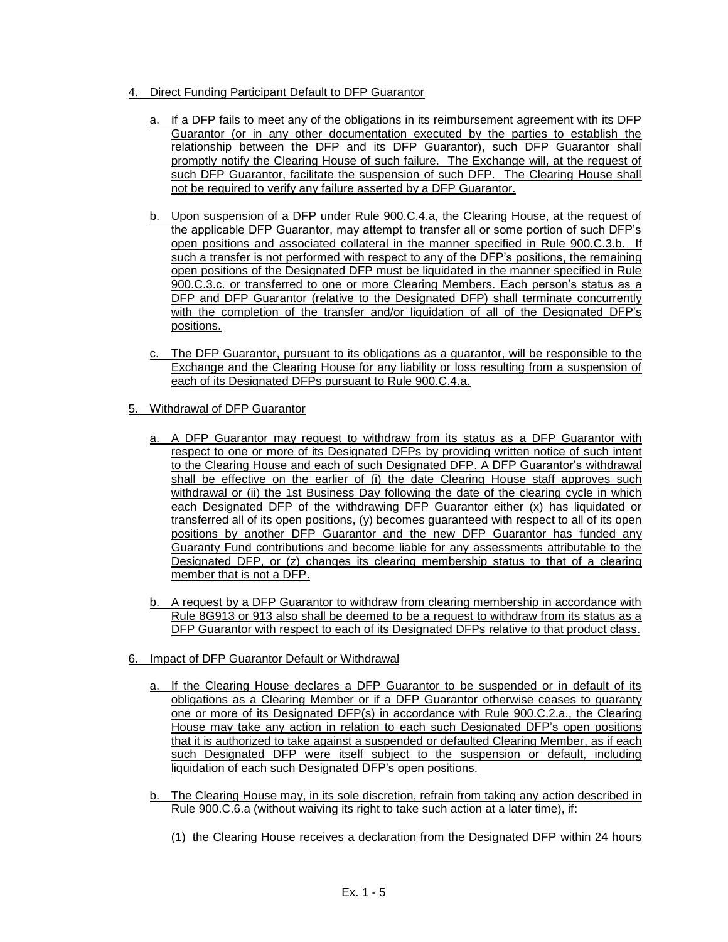- 4. Direct Funding Participant Default to DFP Guarantor
	- a. If a DFP fails to meet any of the obligations in its reimbursement agreement with its DFP Guarantor (or in any other documentation executed by the parties to establish the relationship between the DFP and its DFP Guarantor), such DFP Guarantor shall promptly notify the Clearing House of such failure. The Exchange will, at the request of such DFP Guarantor, facilitate the suspension of such DFP. The Clearing House shall not be required to verify any failure asserted by a DFP Guarantor.
	- b. Upon suspension of a DFP under Rule 900.C.4.a, the Clearing House, at the request of the applicable DFP Guarantor, may attempt to transfer all or some portion of such DFP's open positions and associated collateral in the manner specified in Rule 900.C.3.b. If such a transfer is not performed with respect to any of the DFP's positions, the remaining open positions of the Designated DFP must be liquidated in the manner specified in Rule 900.C.3.c. or transferred to one or more Clearing Members. Each person's status as a DFP and DFP Guarantor (relative to the Designated DFP) shall terminate concurrently with the completion of the transfer and/or liquidation of all of the Designated DFP's positions.
	- c. The DFP Guarantor, pursuant to its obligations as a guarantor, will be responsible to the Exchange and the Clearing House for any liability or loss resulting from a suspension of each of its Designated DFPs pursuant to Rule 900.C.4.a.
- 5. Withdrawal of DFP Guarantor
	- a. A DFP Guarantor may request to withdraw from its status as a DFP Guarantor with respect to one or more of its Designated DFPs by providing written notice of such intent to the Clearing House and each of such Designated DFP. A DFP Guarantor's withdrawal shall be effective on the earlier of (i) the date Clearing House staff approves such withdrawal or (ii) the 1st Business Day following the date of the clearing cycle in which each Designated DFP of the withdrawing DFP Guarantor either (x) has liquidated or transferred all of its open positions, (y) becomes guaranteed with respect to all of its open positions by another DFP Guarantor and the new DFP Guarantor has funded any Guaranty Fund contributions and become liable for any assessments attributable to the Designated DFP, or (z) changes its clearing membership status to that of a clearing member that is not a DFP.
	- b. A request by a DFP Guarantor to withdraw from clearing membership in accordance with Rule 8G913 or 913 also shall be deemed to be a request to withdraw from its status as a DFP Guarantor with respect to each of its Designated DFPs relative to that product class.
- 6. Impact of DFP Guarantor Default or Withdrawal
	- a. If the Clearing House declares a DFP Guarantor to be suspended or in default of its obligations as a Clearing Member or if a DFP Guarantor otherwise ceases to guaranty one or more of its Designated DFP(s) in accordance with Rule 900.C.2.a., the Clearing House may take any action in relation to each such Designated DFP's open positions that it is authorized to take against a suspended or defaulted Clearing Member, as if each such Designated DFP were itself subject to the suspension or default, including liquidation of each such Designated DFP's open positions.
	- b. The Clearing House may, in its sole discretion, refrain from taking any action described in Rule 900.C.6.a (without waiving its right to take such action at a later time), if:

(1) the Clearing House receives a declaration from the Designated DFP within 24 hours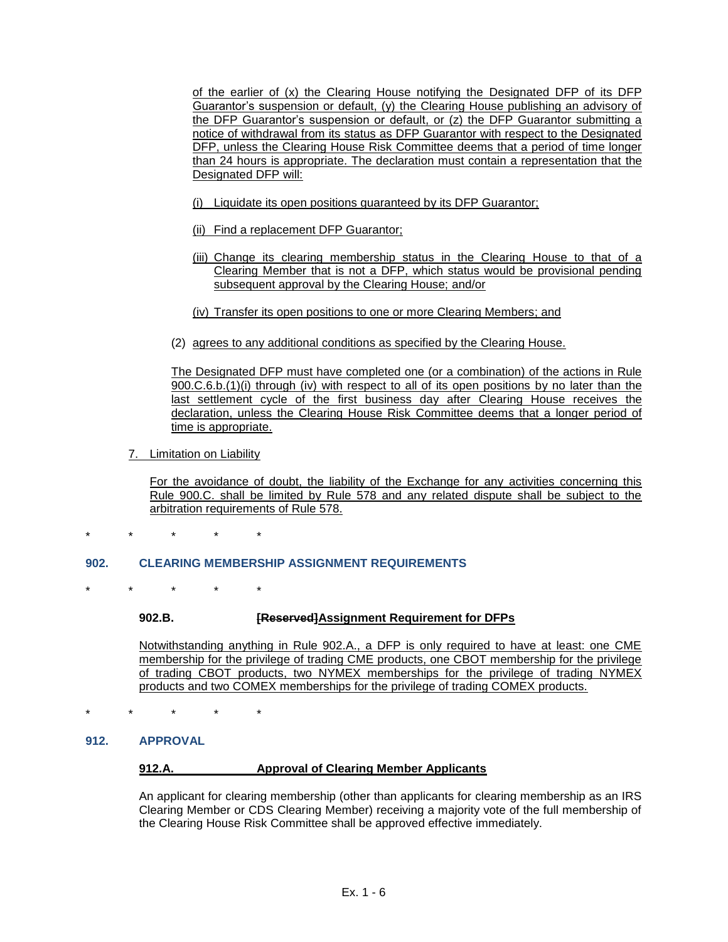of the earlier of (x) the Clearing House notifying the Designated DFP of its DFP Guarantor's suspension or default, (y) the Clearing House publishing an advisory of the DFP Guarantor's suspension or default, or (z) the DFP Guarantor submitting a notice of withdrawal from its status as DFP Guarantor with respect to the Designated DFP, unless the Clearing House Risk Committee deems that a period of time longer than 24 hours is appropriate. The declaration must contain a representation that the Designated DFP will:

- (i) Liquidate its open positions guaranteed by its DFP Guarantor;
- (ii) Find a replacement DFP Guarantor;
- (iii) Change its clearing membership status in the Clearing House to that of a Clearing Member that is not a DFP, which status would be provisional pending subsequent approval by the Clearing House; and/or
- (iv) Transfer its open positions to one or more Clearing Members; and
- (2) agrees to any additional conditions as specified by the Clearing House.

The Designated DFP must have completed one (or a combination) of the actions in Rule 900.C.6.b.(1)(i) through (iv) with respect to all of its open positions by no later than the last settlement cycle of the first business day after Clearing House receives the declaration, unless the Clearing House Risk Committee deems that a longer period of time is appropriate.

7. Limitation on Liability

For the avoidance of doubt, the liability of the Exchange for any activities concerning this Rule 900.C. shall be limited by Rule 578 and any related dispute shall be subject to the arbitration requirements of Rule 578.

\* \* \* \* \*

## **902. CLEARING MEMBERSHIP ASSIGNMENT REQUIREMENTS**

\* \* \* \* \*

#### **902.B. [Reserved]Assignment Requirement for DFPs**

Notwithstanding anything in Rule 902.A., a DFP is only required to have at least: one CME membership for the privilege of trading CME products, one CBOT membership for the privilege of trading CBOT products, two NYMEX memberships for the privilege of trading NYMEX products and two COMEX memberships for the privilege of trading COMEX products.

\* \* \* \* \*

#### **912. APPROVAL**

## **912.A. Approval of Clearing Member Applicants**

An applicant for clearing membership (other than applicants for clearing membership as an IRS Clearing Member or CDS Clearing Member) receiving a majority vote of the full membership of the Clearing House Risk Committee shall be approved effective immediately.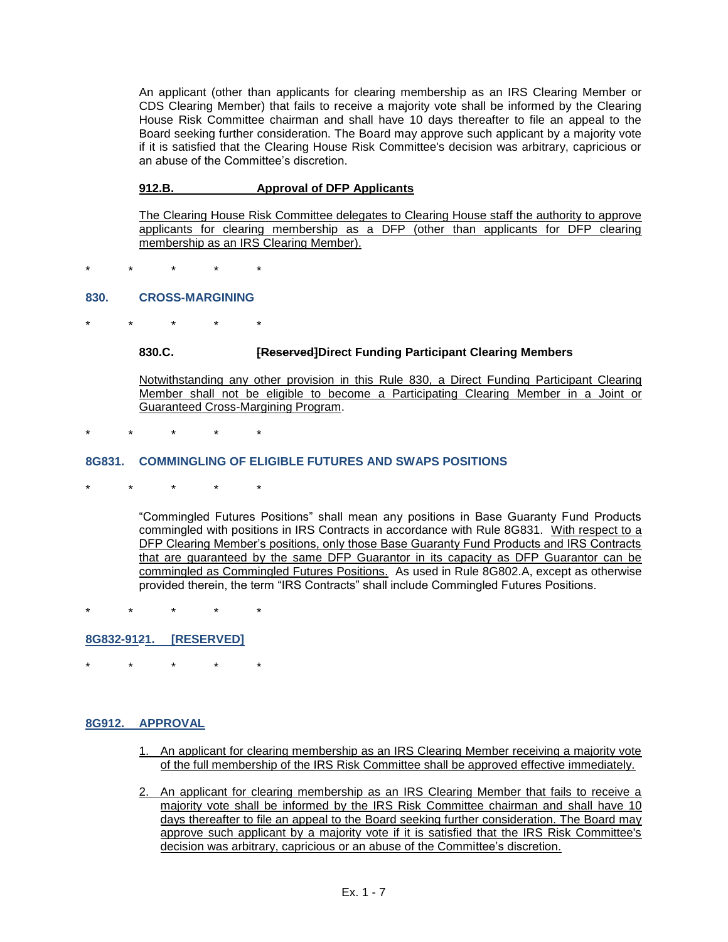An applicant (other than applicants for clearing membership as an IRS Clearing Member or CDS Clearing Member) that fails to receive a majority vote shall be informed by the Clearing House Risk Committee chairman and shall have 10 days thereafter to file an appeal to the Board seeking further consideration. The Board may approve such applicant by a majority vote if it is satisfied that the Clearing House Risk Committee's decision was arbitrary, capricious or an abuse of the Committee's discretion.

### **912.B. Approval of DFP Applicants**

The Clearing House Risk Committee delegates to Clearing House staff the authority to approve applicants for clearing membership as a DFP (other than applicants for DFP clearing membership as an IRS Clearing Member).

\* \* \* \* \*

#### **830. CROSS-MARGINING**

\* \* \* \* \*

#### **830.C. [Reserved]Direct Funding Participant Clearing Members**

Notwithstanding any other provision in this Rule 830, a Direct Funding Participant Clearing Member shall not be eligible to become a Participating Clearing Member in a Joint or Guaranteed Cross-Margining Program.

\* \* \* \* \*

#### **8G831. COMMINGLING OF ELIGIBLE FUTURES AND SWAPS POSITIONS**

\* \* \* \* \*

"Commingled Futures Positions" shall mean any positions in Base Guaranty Fund Products commingled with positions in IRS Contracts in accordance with Rule 8G831. With respect to a DFP Clearing Member's positions, only those Base Guaranty Fund Products and IRS Contracts that are guaranteed by the same DFP Guarantor in its capacity as DFP Guarantor can be commingled as Commingled Futures Positions. As used in Rule 8G802.A, except as otherwise provided therein, the term "IRS Contracts" shall include Commingled Futures Positions.

\* \* \* \* \*

## **8G832-9121. [RESERVED]**

\* \* \* \* \*

#### **8G912. APPROVAL**

- 1. An applicant for clearing membership as an IRS Clearing Member receiving a majority vote of the full membership of the IRS Risk Committee shall be approved effective immediately.
- 2. An applicant for clearing membership as an IRS Clearing Member that fails to receive a majority vote shall be informed by the IRS Risk Committee chairman and shall have 10 days thereafter to file an appeal to the Board seeking further consideration. The Board may approve such applicant by a majority vote if it is satisfied that the IRS Risk Committee's decision was arbitrary, capricious or an abuse of the Committee's discretion.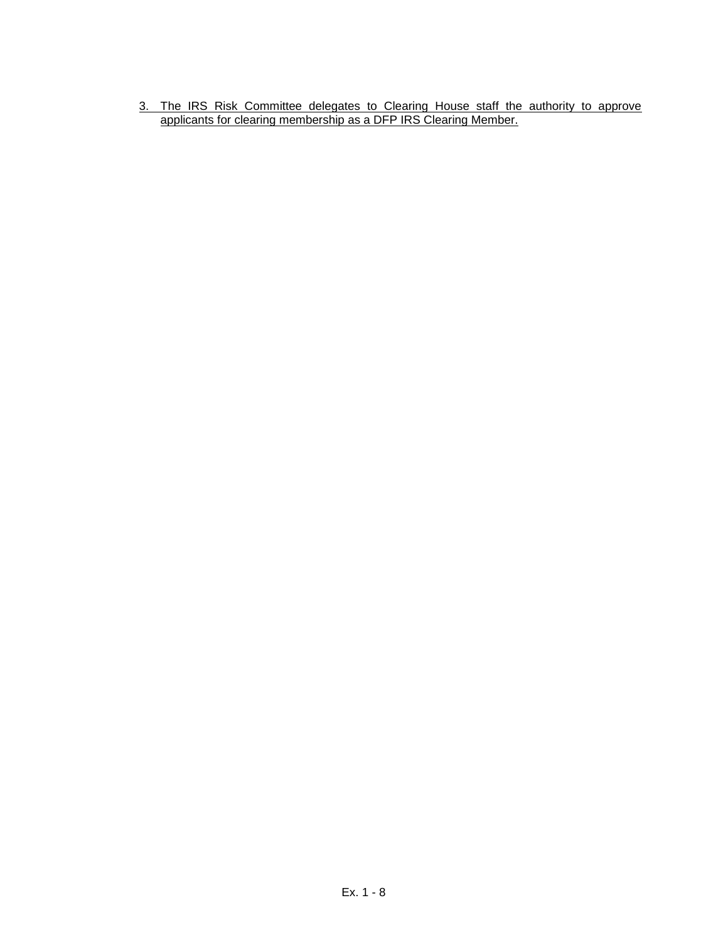3. The IRS Risk Committee delegates to Clearing House staff the authority to approve applicants for clearing membership as a DFP IRS Clearing Member.